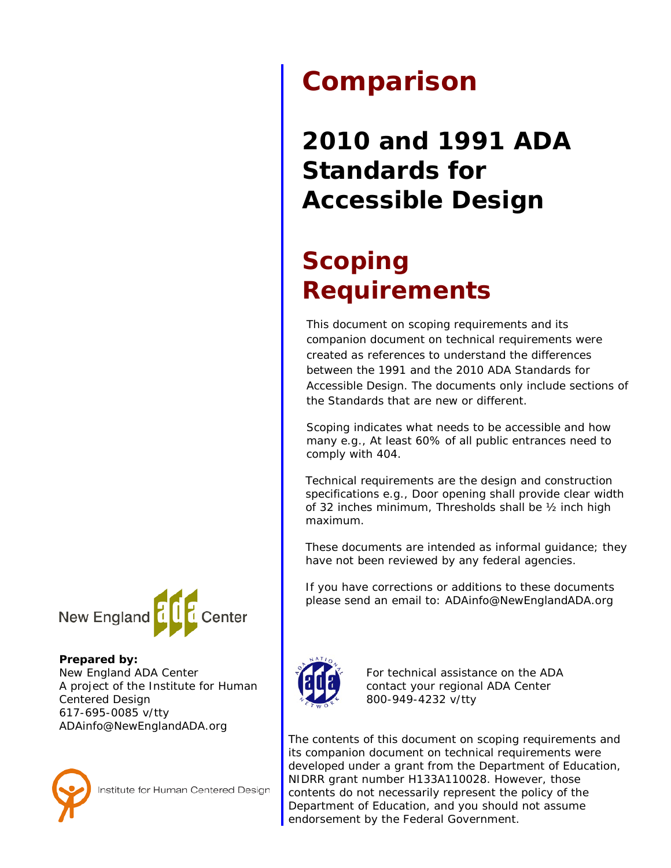# **Comparison**

**2010 and 1991 ADA Standards for Accessible Design** 

## **Scoping Requirements**

This document on scoping requirements and its companion document on technical requirements were created as references to understand the differences between the 1991 and the 2010 ADA Standards for Accessible Design. The documents only include sections of the Standards that are new or different.

Scoping indicates what needs to be accessible and how many e.g., *At least 60% of all public entrances need to comply with 404.*

Technical requirements are the design and construction specifications e.g., *Door opening shall provide clear width of 32 inches minimum, Thresholds shall be ½ inch high maximum.*

These documents are intended as informal guidance; they have not been reviewed by any federal agencies.

If you have corrections or additions to these documents please send an email to: [ADAinfo@NewEnglandADA.org](mailto:ADAinfo@NewEnglandADA.org)



For technical assistance on the ADA contact your regional ADA Center 800-949-4232 v/tty

The contents of this document on scoping requirements and its companion document on technical requirements were developed under a grant from the Department of Education, NIDRR grant number H133A110028. However, those contents do not necessarily represent the policy of the Department of Education, and you should not assume endorsement by the Federal Government.



#### **Prepared by:**

New England ADA Center A project of the Institute for Human Centered Design 617-695-0085 v/tty ADAinfo@NewEnglandADA.org



Institute for Human Centered Design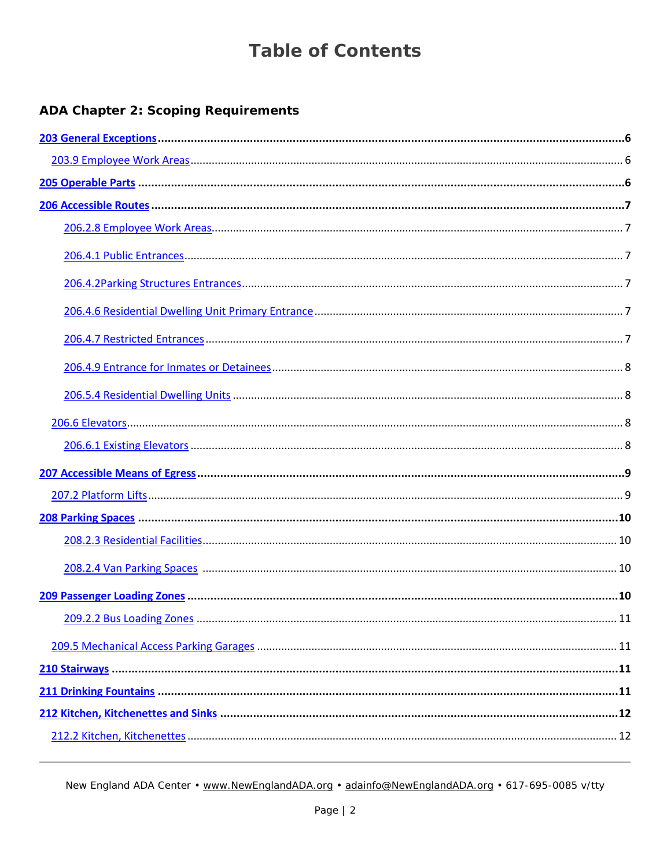### **ADA Chapter 2: Scoping Requirements**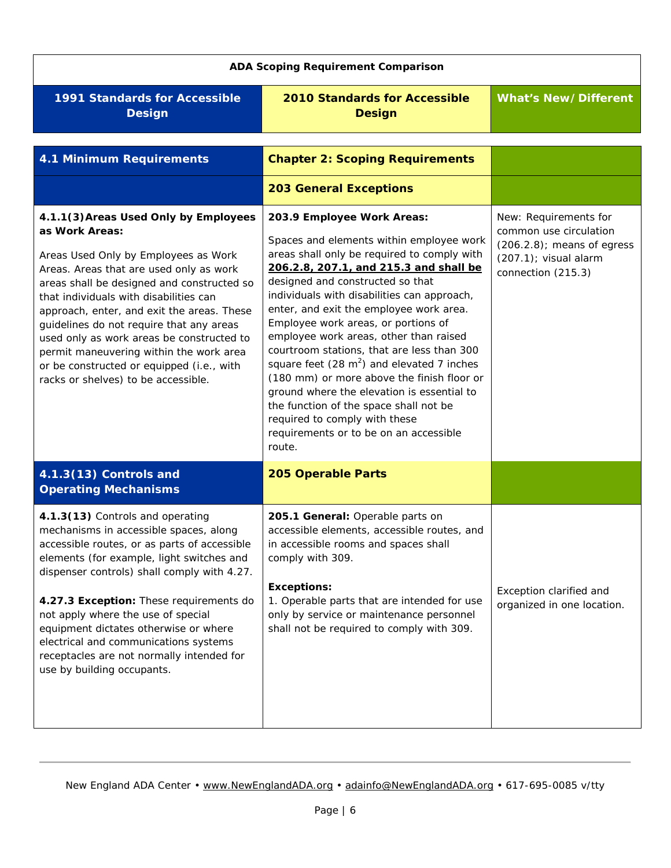<span id="page-5-2"></span><span id="page-5-1"></span><span id="page-5-0"></span>

| <b>ADA Scoping Requirement Comparison</b>                                                                                                                                                                                                                                                                                                                                                                                                                                                                |                                                                                                                                                                                                                                                                                                                                                                                                                                                                                                                                                                                                                                                                                                                 |                                                                                                                                    |
|----------------------------------------------------------------------------------------------------------------------------------------------------------------------------------------------------------------------------------------------------------------------------------------------------------------------------------------------------------------------------------------------------------------------------------------------------------------------------------------------------------|-----------------------------------------------------------------------------------------------------------------------------------------------------------------------------------------------------------------------------------------------------------------------------------------------------------------------------------------------------------------------------------------------------------------------------------------------------------------------------------------------------------------------------------------------------------------------------------------------------------------------------------------------------------------------------------------------------------------|------------------------------------------------------------------------------------------------------------------------------------|
| <b>1991 Standards for Accessible</b><br><b>Design</b>                                                                                                                                                                                                                                                                                                                                                                                                                                                    | <b>2010 Standards for Accessible</b><br><b>Design</b>                                                                                                                                                                                                                                                                                                                                                                                                                                                                                                                                                                                                                                                           | <b>What's New/Different</b>                                                                                                        |
| <b>4.1 Minimum Requirements</b>                                                                                                                                                                                                                                                                                                                                                                                                                                                                          | <b>Chapter 2: Scoping Requirements</b><br><b>203 General Exceptions</b>                                                                                                                                                                                                                                                                                                                                                                                                                                                                                                                                                                                                                                         |                                                                                                                                    |
| 4.1.1(3) Areas Used Only by Employees<br>as Work Areas:<br>Areas Used Only by Employees as Work<br>Areas. Areas that are used only as work<br>areas shall be designed and constructed so<br>that individuals with disabilities can<br>approach, enter, and exit the areas. These<br>guidelines do not require that any areas<br>used only as work areas be constructed to<br>permit maneuvering within the work area<br>or be constructed or equipped (i.e., with<br>racks or shelves) to be accessible. | 203.9 Employee Work Areas:<br>Spaces and elements within employee work<br>areas shall only be required to comply with<br>206.2.8, 207.1, and 215.3 and shall be<br>designed and constructed so that<br>individuals with disabilities can approach,<br>enter, and exit the employee work area.<br>Employee work areas, or portions of<br>employee work areas, other than raised<br>courtroom stations, that are less than 300<br>square feet $(28 \text{ m}^2)$ and elevated 7 inches<br>(180 mm) or more above the finish floor or<br>ground where the elevation is essential to<br>the function of the space shall not be<br>required to comply with these<br>requirements or to be on an accessible<br>route. | New: Requirements for<br>common use circulation<br>$(206.2.8)$ ; means of egress<br>$(207.1)$ ; visual alarm<br>connection (215.3) |
| 4.1.3(13) Controls and<br><b>Operating Mechanisms</b>                                                                                                                                                                                                                                                                                                                                                                                                                                                    | 205 Operable Parts                                                                                                                                                                                                                                                                                                                                                                                                                                                                                                                                                                                                                                                                                              |                                                                                                                                    |
| 4.1.3(13) Controls and operating<br>mechanisms in accessible spaces, along<br>accessible routes, or as parts of accessible<br>elements (for example, light switches and<br>dispenser controls) shall comply with 4.27.<br>4.27.3 Exception: These requirements do<br>not apply where the use of special<br>equipment dictates otherwise or where<br>electrical and communications systems<br>receptacles are not normally intended for<br>use by building occupants.                                     | 205.1 General: Operable parts on<br>accessible elements, accessible routes, and<br>in accessible rooms and spaces shall<br>comply with 309.<br><b>Exceptions:</b><br>1. Operable parts that are intended for use<br>only by service or maintenance personnel<br>shall not be required to comply with 309.                                                                                                                                                                                                                                                                                                                                                                                                       | Exception clarified and<br>organized in one location.                                                                              |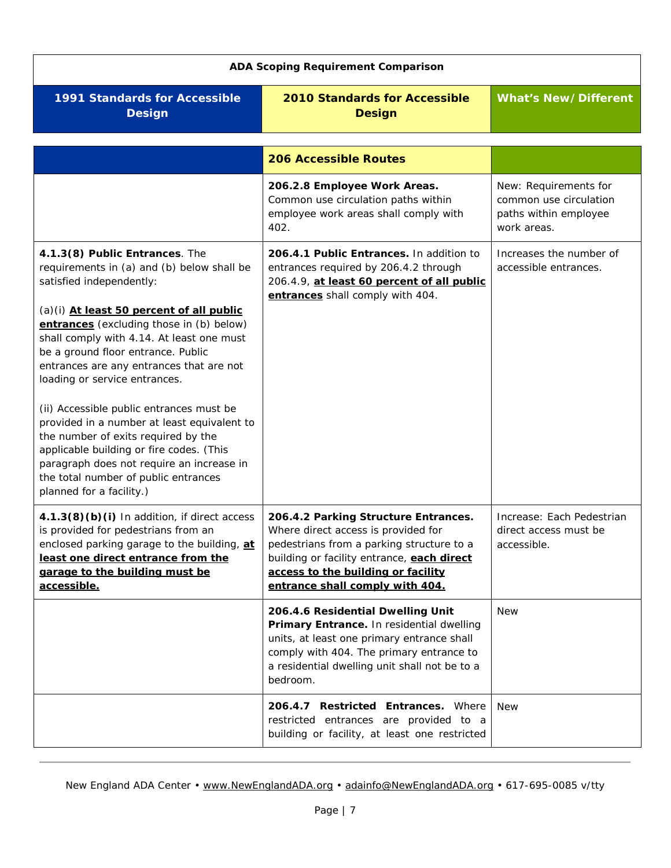<span id="page-6-5"></span><span id="page-6-4"></span><span id="page-6-3"></span><span id="page-6-2"></span><span id="page-6-1"></span><span id="page-6-0"></span>

| <b>ADA Scoping Requirement Comparison</b>                                                                                                                                                                                                                                                                                                                                                                                                                                                                                                                                                                                                                       |                                                                                                                                                                                                                                                 |                                                                                         |
|-----------------------------------------------------------------------------------------------------------------------------------------------------------------------------------------------------------------------------------------------------------------------------------------------------------------------------------------------------------------------------------------------------------------------------------------------------------------------------------------------------------------------------------------------------------------------------------------------------------------------------------------------------------------|-------------------------------------------------------------------------------------------------------------------------------------------------------------------------------------------------------------------------------------------------|-----------------------------------------------------------------------------------------|
| <b>1991 Standards for Accessible</b><br><b>Design</b>                                                                                                                                                                                                                                                                                                                                                                                                                                                                                                                                                                                                           | <b>2010 Standards for Accessible</b><br><b>Design</b>                                                                                                                                                                                           | <b>What's New/Different</b>                                                             |
|                                                                                                                                                                                                                                                                                                                                                                                                                                                                                                                                                                                                                                                                 | <b>206 Accessible Routes</b>                                                                                                                                                                                                                    |                                                                                         |
|                                                                                                                                                                                                                                                                                                                                                                                                                                                                                                                                                                                                                                                                 | 206.2.8 Employee Work Areas.<br>Common use circulation paths within<br>employee work areas shall comply with<br>402.                                                                                                                            | New: Requirements for<br>common use circulation<br>paths within employee<br>work areas. |
| 4.1.3(8) Public Entrances. The<br>requirements in (a) and (b) below shall be<br>satisfied independently:<br>(a)(i) At least 50 percent of all public<br>entrances (excluding those in (b) below)<br>shall comply with 4.14. At least one must<br>be a ground floor entrance. Public<br>entrances are any entrances that are not<br>loading or service entrances.<br>(ii) Accessible public entrances must be<br>provided in a number at least equivalent to<br>the number of exits required by the<br>applicable building or fire codes. (This<br>paragraph does not require an increase in<br>the total number of public entrances<br>planned for a facility.) | 206.4.1 Public Entrances. In addition to<br>entrances required by 206.4.2 through<br>206.4.9, at least 60 percent of all public<br>entrances shall comply with 404.                                                                             | Increases the number of<br>accessible entrances.                                        |
| 4.1.3(8)(b)(i) In addition, if direct access<br>is provided for pedestrians from an<br>enclosed parking garage to the building, at<br>least one direct entrance from the<br>garage to the building must be<br>accessible.                                                                                                                                                                                                                                                                                                                                                                                                                                       | 206.4.2 Parking Structure Entrances.<br>Where direct access is provided for<br>pedestrians from a parking structure to a<br>building or facility entrance, each direct<br>access to the building or facility<br>entrance shall comply with 404. | Increase: Each Pedestrian<br>direct access must be<br>accessible.                       |
|                                                                                                                                                                                                                                                                                                                                                                                                                                                                                                                                                                                                                                                                 | 206.4.6 Residential Dwelling Unit<br>Primary Entrance. In residential dwelling<br>units, at least one primary entrance shall<br>comply with 404. The primary entrance to<br>a residential dwelling unit shall not be to a<br>bedroom.           | <b>New</b>                                                                              |
|                                                                                                                                                                                                                                                                                                                                                                                                                                                                                                                                                                                                                                                                 | 206.4.7 Restricted Entrances. Where<br>restricted entrances are provided to a<br>building or facility, at least one restricted                                                                                                                  | <b>New</b>                                                                              |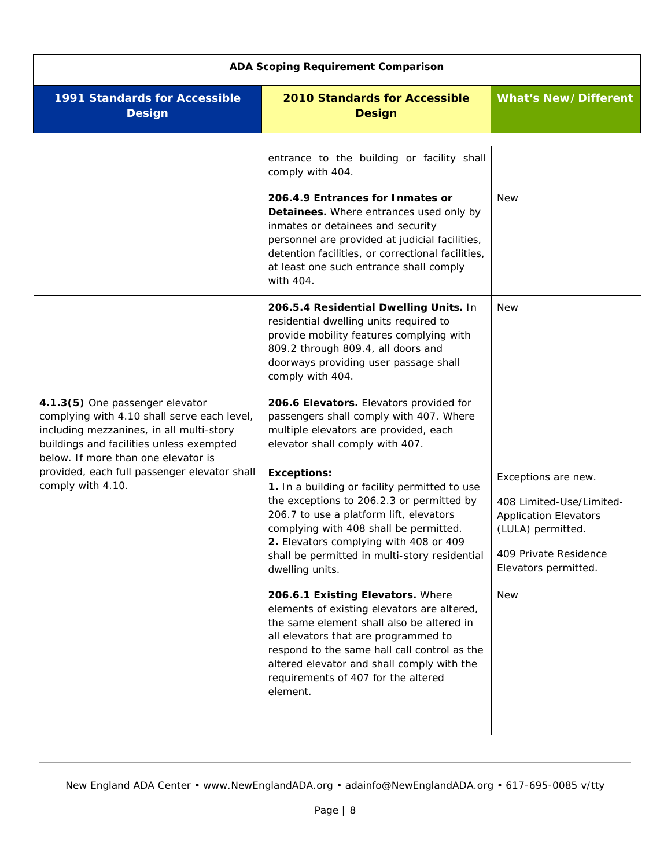<span id="page-7-3"></span><span id="page-7-2"></span><span id="page-7-1"></span><span id="page-7-0"></span>

| <b>ADA Scoping Requirement Comparison</b>                                                                                                                                                                     |                                                                                                                                                                                                                                                                                                                        |                                                                                                                                                       |
|---------------------------------------------------------------------------------------------------------------------------------------------------------------------------------------------------------------|------------------------------------------------------------------------------------------------------------------------------------------------------------------------------------------------------------------------------------------------------------------------------------------------------------------------|-------------------------------------------------------------------------------------------------------------------------------------------------------|
| <b>1991 Standards for Accessible</b><br><b>Design</b>                                                                                                                                                         | <b>2010 Standards for Accessible</b><br><b>Design</b>                                                                                                                                                                                                                                                                  | <b>What's New/Different</b>                                                                                                                           |
|                                                                                                                                                                                                               | entrance to the building or facility shall<br>comply with 404.                                                                                                                                                                                                                                                         |                                                                                                                                                       |
|                                                                                                                                                                                                               | 206.4.9 Entrances for Inmates or<br>Detainees. Where entrances used only by<br>inmates or detainees and security<br>personnel are provided at judicial facilities,<br>detention facilities, or correctional facilities,<br>at least one such entrance shall comply<br>with 404.                                        | <b>New</b>                                                                                                                                            |
|                                                                                                                                                                                                               | 206.5.4 Residential Dwelling Units. In<br>residential dwelling units required to<br>provide mobility features complying with<br>809.2 through 809.4, all doors and<br>doorways providing user passage shall<br>comply with 404.                                                                                        | <b>New</b>                                                                                                                                            |
| 4.1.3(5) One passenger elevator<br>complying with 4.10 shall serve each level,<br>including mezzanines, in all multi-story<br>buildings and facilities unless exempted<br>below. If more than one elevator is | 206.6 Elevators. Elevators provided for<br>passengers shall comply with 407. Where<br>multiple elevators are provided, each<br>elevator shall comply with 407.                                                                                                                                                         |                                                                                                                                                       |
| provided, each full passenger elevator shall<br>comply with 4.10.                                                                                                                                             | <b>Exceptions:</b><br>1. In a building or facility permitted to use<br>the exceptions to 206.2.3 or permitted by<br>206.7 to use a platform lift, elevators<br>complying with 408 shall be permitted.<br>2. Elevators complying with 408 or 409<br>shall be permitted in multi-story residential<br>dwelling units.    | Exceptions are new.<br>408 Limited-Use/Limited-<br><b>Application Elevators</b><br>(LULA) permitted.<br>409 Private Residence<br>Elevators permitted. |
|                                                                                                                                                                                                               | 206.6.1 Existing Elevators. Where<br>elements of existing elevators are altered,<br>the same element shall also be altered in<br>all elevators that are programmed to<br>respond to the same hall call control as the<br>altered elevator and shall comply with the<br>requirements of 407 for the altered<br>element. | <b>New</b>                                                                                                                                            |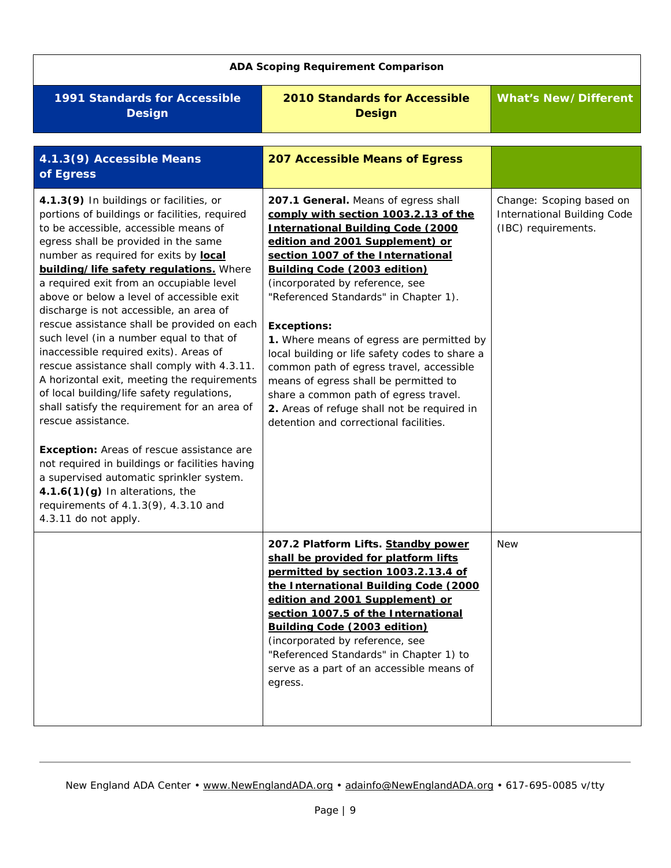<span id="page-8-1"></span><span id="page-8-0"></span>

| <b>ADA Scoping Requirement Comparison</b>                                                                                                                                                                                                                                                                                                                                                                                                                                                                                                                                                                                                                                                                                                                                                                                                                                                                                                                                                                       |                                                                                                                                                                                                                                                                                                                                                                                                                                                                                                                                                                                                                                                          |                                                                                       |
|-----------------------------------------------------------------------------------------------------------------------------------------------------------------------------------------------------------------------------------------------------------------------------------------------------------------------------------------------------------------------------------------------------------------------------------------------------------------------------------------------------------------------------------------------------------------------------------------------------------------------------------------------------------------------------------------------------------------------------------------------------------------------------------------------------------------------------------------------------------------------------------------------------------------------------------------------------------------------------------------------------------------|----------------------------------------------------------------------------------------------------------------------------------------------------------------------------------------------------------------------------------------------------------------------------------------------------------------------------------------------------------------------------------------------------------------------------------------------------------------------------------------------------------------------------------------------------------------------------------------------------------------------------------------------------------|---------------------------------------------------------------------------------------|
| <b>1991 Standards for Accessible</b><br><b>Design</b>                                                                                                                                                                                                                                                                                                                                                                                                                                                                                                                                                                                                                                                                                                                                                                                                                                                                                                                                                           | <b>2010 Standards for Accessible</b><br><b>Design</b>                                                                                                                                                                                                                                                                                                                                                                                                                                                                                                                                                                                                    | <b>What's New/Different</b>                                                           |
| 4.1.3(9) Accessible Means<br>of Egress                                                                                                                                                                                                                                                                                                                                                                                                                                                                                                                                                                                                                                                                                                                                                                                                                                                                                                                                                                          | <b>207 Accessible Means of Egress</b>                                                                                                                                                                                                                                                                                                                                                                                                                                                                                                                                                                                                                    |                                                                                       |
| 4.1.3(9) In buildings or facilities, or<br>portions of buildings or facilities, required<br>to be accessible, accessible means of<br>egress shall be provided in the same<br>number as required for exits by local<br>building/life safety requlations. Where<br>a required exit from an occupiable level<br>above or below a level of accessible exit<br>discharge is not accessible, an area of<br>rescue assistance shall be provided on each<br>such level (in a number equal to that of<br>inaccessible required exits). Areas of<br>rescue assistance shall comply with 4.3.11.<br>A horizontal exit, meeting the requirements<br>of local building/life safety regulations,<br>shall satisfy the requirement for an area of<br>rescue assistance.<br><b>Exception:</b> Areas of rescue assistance are<br>not required in buildings or facilities having<br>a supervised automatic sprinkler system.<br>$4.1.6(1)(g)$ In alterations, the<br>requirements of 4.1.3(9), 4.3.10 and<br>4.3.11 do not apply. | 207.1 General. Means of egress shall<br>comply with section 1003.2.13 of the<br><b>International Building Code (2000</b><br>edition and 2001 Supplement) or<br>section 1007 of the International<br>Building Code (2003 edition)<br>(incorporated by reference, see<br>"Referenced Standards" in Chapter 1).<br><b>Exceptions:</b><br>1. Where means of egress are permitted by<br>local building or life safety codes to share a<br>common path of egress travel, accessible<br>means of egress shall be permitted to<br>share a common path of egress travel.<br>2. Areas of refuge shall not be required in<br>detention and correctional facilities. | Change: Scoping based on<br><b>International Building Code</b><br>(IBC) requirements. |
|                                                                                                                                                                                                                                                                                                                                                                                                                                                                                                                                                                                                                                                                                                                                                                                                                                                                                                                                                                                                                 | 207.2 Platform Lifts. Standby power<br>shall be provided for platform lifts<br>permitted by section 1003.2.13.4 of<br>the International Building Code (2000<br>edition and 2001 Supplement) or<br>section 1007.5 of the International<br>Building Code (2003 edition)<br>(incorporated by reference, see<br>"Referenced Standards" in Chapter 1) to<br>serve as a part of an accessible means of<br>egress.                                                                                                                                                                                                                                              | New                                                                                   |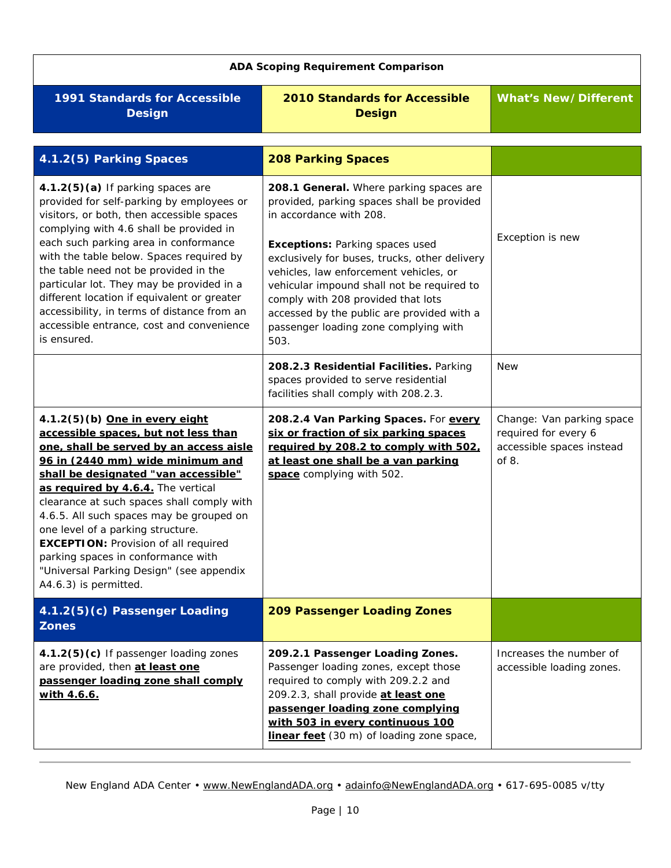<span id="page-9-3"></span><span id="page-9-2"></span><span id="page-9-1"></span><span id="page-9-0"></span>

| <b>ADA Scoping Requirement Comparison</b>                                                                                                                                                                                                                                                                                                                                                                                                                                                                                    |                                                                                                                                                                                                                                                                                                                                                                                                                                          |                                                                                         |
|------------------------------------------------------------------------------------------------------------------------------------------------------------------------------------------------------------------------------------------------------------------------------------------------------------------------------------------------------------------------------------------------------------------------------------------------------------------------------------------------------------------------------|------------------------------------------------------------------------------------------------------------------------------------------------------------------------------------------------------------------------------------------------------------------------------------------------------------------------------------------------------------------------------------------------------------------------------------------|-----------------------------------------------------------------------------------------|
| <b>1991 Standards for Accessible</b><br><b>Design</b>                                                                                                                                                                                                                                                                                                                                                                                                                                                                        | <b>2010 Standards for Accessible</b><br><b>Design</b>                                                                                                                                                                                                                                                                                                                                                                                    | <b>What's New/Different</b>                                                             |
| 4.1.2(5) Parking Spaces                                                                                                                                                                                                                                                                                                                                                                                                                                                                                                      | <b>208 Parking Spaces</b>                                                                                                                                                                                                                                                                                                                                                                                                                |                                                                                         |
| 4.1.2(5)(a) If parking spaces are<br>provided for self-parking by employees or<br>visitors, or both, then accessible spaces<br>complying with 4.6 shall be provided in<br>each such parking area in conformance<br>with the table below. Spaces required by<br>the table need not be provided in the<br>particular lot. They may be provided in a<br>different location if equivalent or greater<br>accessibility, in terms of distance from an<br>accessible entrance, cost and convenience<br>is ensured.                  | 208.1 General. Where parking spaces are<br>provided, parking spaces shall be provided<br>in accordance with 208.<br><b>Exceptions: Parking spaces used</b><br>exclusively for buses, trucks, other delivery<br>vehicles, law enforcement vehicles, or<br>vehicular impound shall not be required to<br>comply with 208 provided that lots<br>accessed by the public are provided with a<br>passenger loading zone complying with<br>503. | Exception is new                                                                        |
|                                                                                                                                                                                                                                                                                                                                                                                                                                                                                                                              | 208.2.3 Residential Facilities. Parking<br>spaces provided to serve residential<br>facilities shall comply with 208.2.3.                                                                                                                                                                                                                                                                                                                 | <b>New</b>                                                                              |
| 4.1.2(5)(b) One in every eight<br>accessible spaces, but not less than<br>one, shall be served by an access aisle<br>96 in (2440 mm) wide minimum and<br>shall be designated "van accessible"<br>as required by 4.6.4. The vertical<br>clearance at such spaces shall comply with<br>4.6.5. All such spaces may be grouped on<br>one level of a parking structure.<br><b>EXCEPTION: Provision of all required</b><br>parking spaces in conformance with<br>"Universal Parking Design" (see appendix<br>A4.6.3) is permitted. | 208.2.4 Van Parking Spaces. For every<br>six or fraction of six parking spaces<br>required by 208.2 to comply with 502.<br>at least one shall be a van parking<br>space complying with 502.                                                                                                                                                                                                                                              | Change: Van parking space<br>required for every 6<br>accessible spaces instead<br>of 8. |
| 4.1.2(5)(c) Passenger Loading<br><b>Zones</b>                                                                                                                                                                                                                                                                                                                                                                                                                                                                                | <b>209 Passenger Loading Zones</b>                                                                                                                                                                                                                                                                                                                                                                                                       |                                                                                         |
| 4.1.2(5)(c) If passenger loading zones<br>are provided, then at least one<br>passenger loading zone shall comply<br><u>with 4.6.6.</u>                                                                                                                                                                                                                                                                                                                                                                                       | 209.2.1 Passenger Loading Zones.<br>Passenger loading zones, except those<br>required to comply with 209.2.2 and<br>209.2.3, shall provide at least one<br>passenger loading zone complying<br>with 503 in every continuous 100<br>linear feet (30 m) of loading zone space,                                                                                                                                                             | Increases the number of<br>accessible loading zones.                                    |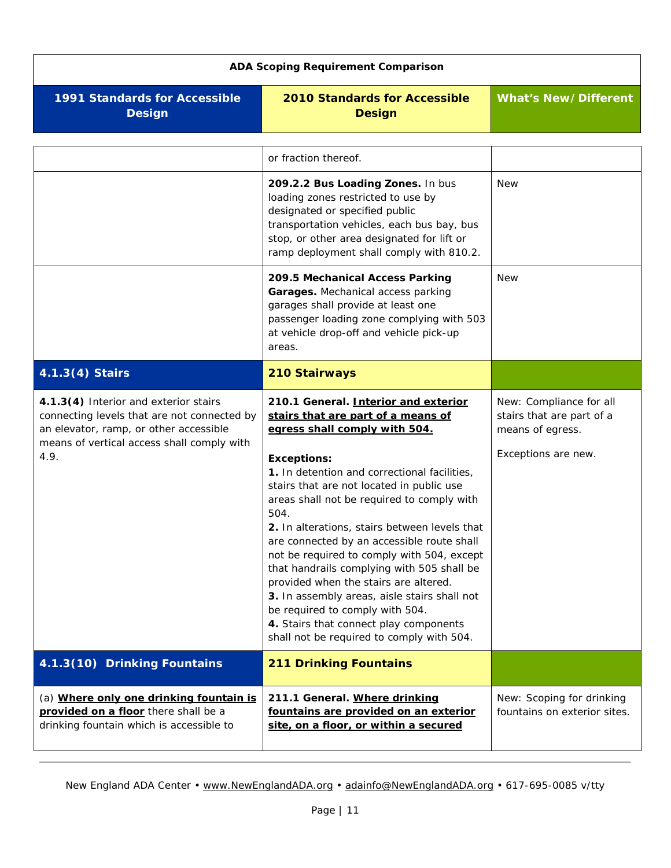<span id="page-10-3"></span><span id="page-10-2"></span><span id="page-10-1"></span><span id="page-10-0"></span>

| <b>ADA Scoping Requirement Comparison</b>                                                                                                                                            |                                                                                                                                                                                                                                                                                                                                                                                                                                                                                                                                                                                                                                                                                                    |                                                                                                 |
|--------------------------------------------------------------------------------------------------------------------------------------------------------------------------------------|----------------------------------------------------------------------------------------------------------------------------------------------------------------------------------------------------------------------------------------------------------------------------------------------------------------------------------------------------------------------------------------------------------------------------------------------------------------------------------------------------------------------------------------------------------------------------------------------------------------------------------------------------------------------------------------------------|-------------------------------------------------------------------------------------------------|
| 1991 Standards for Accessible<br><b>Design</b>                                                                                                                                       | <b>2010 Standards for Accessible</b><br><b>Design</b>                                                                                                                                                                                                                                                                                                                                                                                                                                                                                                                                                                                                                                              | <b>What's New/Different</b>                                                                     |
|                                                                                                                                                                                      | or fraction thereof.                                                                                                                                                                                                                                                                                                                                                                                                                                                                                                                                                                                                                                                                               |                                                                                                 |
|                                                                                                                                                                                      | 209.2.2 Bus Loading Zones. In bus<br>loading zones restricted to use by<br>designated or specified public<br>transportation vehicles, each bus bay, bus<br>stop, or other area designated for lift or<br>ramp deployment shall comply with 810.2.                                                                                                                                                                                                                                                                                                                                                                                                                                                  | <b>New</b>                                                                                      |
|                                                                                                                                                                                      | 209.5 Mechanical Access Parking<br>Garages. Mechanical access parking<br>garages shall provide at least one<br>passenger loading zone complying with 503<br>at vehicle drop-off and vehicle pick-up<br>areas.                                                                                                                                                                                                                                                                                                                                                                                                                                                                                      | <b>New</b>                                                                                      |
| 4.1.3(4) Stairs                                                                                                                                                                      | <b>210 Stairways</b>                                                                                                                                                                                                                                                                                                                                                                                                                                                                                                                                                                                                                                                                               |                                                                                                 |
| 4.1.3(4) Interior and exterior stairs<br>connecting levels that are not connected by<br>an elevator, ramp, or other accessible<br>means of vertical access shall comply with<br>4.9. | 210.1 General. Interior and exterior<br>stairs that are part of a means of<br>egress shall comply with 504.<br><b>Exceptions:</b><br>1. In detention and correctional facilities,<br>stairs that are not located in public use<br>areas shall not be required to comply with<br>504.<br>2. In alterations, stairs between levels that<br>are connected by an accessible route shall<br>not be required to comply with 504, except<br>that handrails complying with 505 shall be<br>provided when the stairs are altered.<br>3. In assembly areas, aisle stairs shall not<br>be required to comply with 504.<br>4. Stairs that connect play components<br>shall not be required to comply with 504. | New: Compliance for all<br>stairs that are part of a<br>means of egress.<br>Exceptions are new. |
| 4.1.3(10) Drinking Fountains                                                                                                                                                         | <b>211 Drinking Fountains</b>                                                                                                                                                                                                                                                                                                                                                                                                                                                                                                                                                                                                                                                                      |                                                                                                 |
| (a) Where only one drinking fountain is<br>provided on a floor there shall be a<br>drinking fountain which is accessible to                                                          | 211.1 General. Where drinking<br>fountains are provided on an exterior<br>site, on a floor, or within a secured                                                                                                                                                                                                                                                                                                                                                                                                                                                                                                                                                                                    | New: Scoping for drinking<br>fountains on exterior sites.                                       |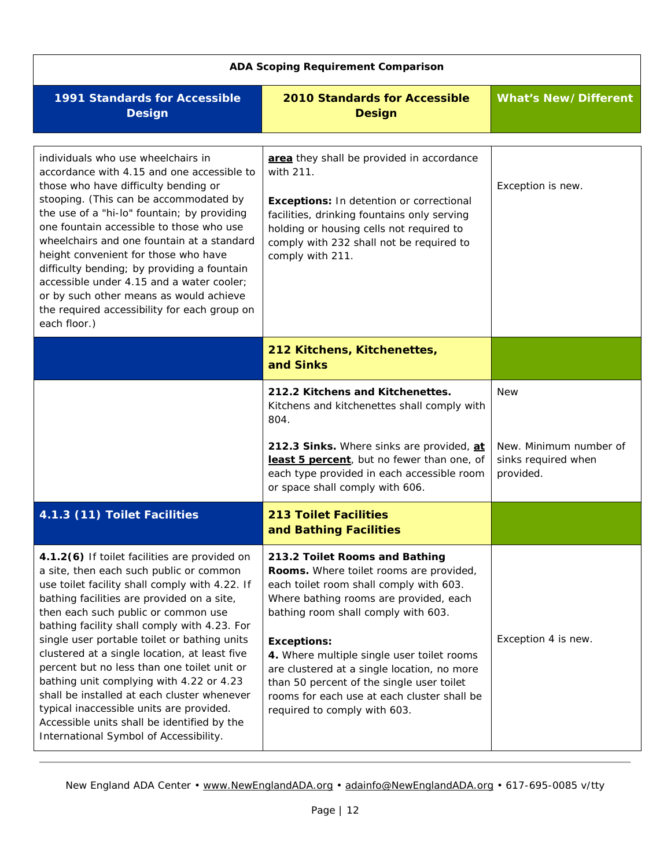<span id="page-11-4"></span><span id="page-11-3"></span><span id="page-11-2"></span><span id="page-11-1"></span><span id="page-11-0"></span>

| <b>ADA Scoping Requirement Comparison</b>                                                                                                                                                                                                                                                                                                                                                                                                                                                                                                                                                                                                                       |                                                                                                                                                                                                                                                                                                                                                                                                                                                      |                                                            |
|-----------------------------------------------------------------------------------------------------------------------------------------------------------------------------------------------------------------------------------------------------------------------------------------------------------------------------------------------------------------------------------------------------------------------------------------------------------------------------------------------------------------------------------------------------------------------------------------------------------------------------------------------------------------|------------------------------------------------------------------------------------------------------------------------------------------------------------------------------------------------------------------------------------------------------------------------------------------------------------------------------------------------------------------------------------------------------------------------------------------------------|------------------------------------------------------------|
| 1991 Standards for Accessible<br><b>Design</b>                                                                                                                                                                                                                                                                                                                                                                                                                                                                                                                                                                                                                  | <b>2010 Standards for Accessible</b><br><b>Design</b>                                                                                                                                                                                                                                                                                                                                                                                                | <b>What's New/Different</b>                                |
| individuals who use wheelchairs in<br>accordance with 4.15 and one accessible to<br>those who have difficulty bending or<br>stooping. (This can be accommodated by<br>the use of a "hi-lo" fountain; by providing<br>one fountain accessible to those who use<br>wheelchairs and one fountain at a standard<br>height convenient for those who have<br>difficulty bending; by providing a fountain<br>accessible under 4.15 and a water cooler;<br>or by such other means as would achieve<br>the required accessibility for each group on<br>each floor.)                                                                                                      | area they shall be provided in accordance<br>with 211.<br>Exceptions: In detention or correctional<br>facilities, drinking fountains only serving<br>holding or housing cells not required to<br>comply with 232 shall not be required to<br>comply with 211.                                                                                                                                                                                        | Exception is new.                                          |
|                                                                                                                                                                                                                                                                                                                                                                                                                                                                                                                                                                                                                                                                 | 212 Kitchens, Kitchenettes,<br>and Sinks                                                                                                                                                                                                                                                                                                                                                                                                             |                                                            |
|                                                                                                                                                                                                                                                                                                                                                                                                                                                                                                                                                                                                                                                                 | 212.2 Kitchens and Kitchenettes.<br>Kitchens and kitchenettes shall comply with<br>804.                                                                                                                                                                                                                                                                                                                                                              | <b>New</b>                                                 |
|                                                                                                                                                                                                                                                                                                                                                                                                                                                                                                                                                                                                                                                                 | 212.3 Sinks. Where sinks are provided, at<br>least 5 percent, but no fewer than one, of<br>each type provided in each accessible room<br>or space shall comply with 606.                                                                                                                                                                                                                                                                             | New. Minimum number of<br>sinks required when<br>provided. |
| 4.1.3 (11) Toilet Facilities                                                                                                                                                                                                                                                                                                                                                                                                                                                                                                                                                                                                                                    | <b>213 Toilet Facilities</b><br>and Bathing Facilities                                                                                                                                                                                                                                                                                                                                                                                               |                                                            |
| 4.1.2(6) If toilet facilities are provided on<br>a site, then each such public or common<br>use toilet facility shall comply with 4.22. If<br>bathing facilities are provided on a site,<br>then each such public or common use<br>bathing facility shall comply with 4.23. For<br>single user portable toilet or bathing units<br>clustered at a single location, at least five<br>percent but no less than one toilet unit or<br>bathing unit complying with 4.22 or 4.23<br>shall be installed at each cluster whenever<br>typical inaccessible units are provided.<br>Accessible units shall be identified by the<br>International Symbol of Accessibility. | 213.2 Toilet Rooms and Bathing<br>Rooms. Where toilet rooms are provided,<br>each toilet room shall comply with 603.<br>Where bathing rooms are provided, each<br>bathing room shall comply with 603.<br><b>Exceptions:</b><br>4. Where multiple single user toilet rooms<br>are clustered at a single location, no more<br>than 50 percent of the single user toilet<br>rooms for each use at each cluster shall be<br>required to comply with 603. | Exception 4 is new.                                        |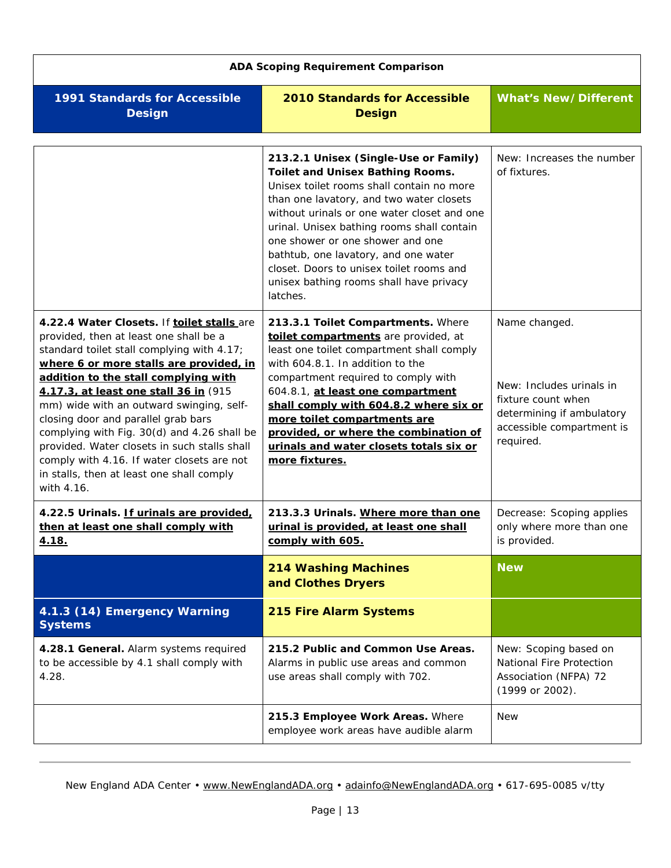<span id="page-12-6"></span><span id="page-12-5"></span><span id="page-12-4"></span><span id="page-12-3"></span><span id="page-12-2"></span><span id="page-12-1"></span><span id="page-12-0"></span>

| <b>ADA Scoping Requirement Comparison</b>                                                                                                                                                                                                                                                                                                                                                                                                                                                                                                                 |                                                                                                                                                                                                                                                                                                                                                                                                                                                       |                                                                                                                                        |
|-----------------------------------------------------------------------------------------------------------------------------------------------------------------------------------------------------------------------------------------------------------------------------------------------------------------------------------------------------------------------------------------------------------------------------------------------------------------------------------------------------------------------------------------------------------|-------------------------------------------------------------------------------------------------------------------------------------------------------------------------------------------------------------------------------------------------------------------------------------------------------------------------------------------------------------------------------------------------------------------------------------------------------|----------------------------------------------------------------------------------------------------------------------------------------|
| <b>1991 Standards for Accessible</b><br><b>Design</b>                                                                                                                                                                                                                                                                                                                                                                                                                                                                                                     | <b>2010 Standards for Accessible</b><br><b>Design</b>                                                                                                                                                                                                                                                                                                                                                                                                 | <b>What's New/Different</b>                                                                                                            |
|                                                                                                                                                                                                                                                                                                                                                                                                                                                                                                                                                           | 213.2.1 Unisex (Single-Use or Family)<br><b>Toilet and Unisex Bathing Rooms.</b><br>Unisex toilet rooms shall contain no more<br>than one lavatory, and two water closets<br>without urinals or one water closet and one<br>urinal. Unisex bathing rooms shall contain<br>one shower or one shower and one<br>bathtub, one lavatory, and one water<br>closet. Doors to unisex toilet rooms and<br>unisex bathing rooms shall have privacy<br>latches. | New: Increases the number<br>of fixtures.                                                                                              |
| 4.22.4 Water Closets. If toilet stalls are<br>provided, then at least one shall be a<br>standard toilet stall complying with 4.17;<br>where 6 or more stalls are provided, in<br>addition to the stall complying with<br>4.17.3, at least one stall 36 in (915<br>mm) wide with an outward swinging, self-<br>closing door and parallel grab bars<br>complying with Fig. 30(d) and 4.26 shall be<br>provided. Water closets in such stalls shall<br>comply with 4.16. If water closets are not<br>in stalls, then at least one shall comply<br>with 4.16. | 213.3.1 Toilet Compartments. Where<br>toilet compartments are provided, at<br>least one toilet compartment shall comply<br>with 604.8.1. In addition to the<br>compartment required to comply with<br>604.8.1, at least one compartment<br>shall comply with 604.8.2 where six or<br>more toilet compartments are<br>provided, or where the combination of<br>urinals and water closets totals six or<br>more fixtures.                               | Name changed.<br>New: Includes urinals in<br>fixture count when<br>determining if ambulatory<br>accessible compartment is<br>required. |
| 4.22.5 Urinals. If urinals are provided,<br>then at least one shall comply with<br>4.18.                                                                                                                                                                                                                                                                                                                                                                                                                                                                  | 213.3.3 Urinals. Where more than one<br>urinal is provided, at least one shall<br>comply with 605.                                                                                                                                                                                                                                                                                                                                                    | Decrease: Scoping applies<br>only where more than one<br>is provided.                                                                  |
|                                                                                                                                                                                                                                                                                                                                                                                                                                                                                                                                                           | <b>214 Washing Machines</b><br>and Clothes Dryers                                                                                                                                                                                                                                                                                                                                                                                                     | <b>New</b>                                                                                                                             |
| 4.1.3 (14) Emergency Warning<br><b>Systems</b>                                                                                                                                                                                                                                                                                                                                                                                                                                                                                                            | 215 Fire Alarm Systems                                                                                                                                                                                                                                                                                                                                                                                                                                |                                                                                                                                        |
| 4.28.1 General. Alarm systems required<br>to be accessible by 4.1 shall comply with<br>4.28.                                                                                                                                                                                                                                                                                                                                                                                                                                                              | 215.2 Public and Common Use Areas.<br>Alarms in public use areas and common<br>use areas shall comply with 702.                                                                                                                                                                                                                                                                                                                                       | New: Scoping based on<br>National Fire Protection<br>Association (NFPA) 72<br>(1999 or 2002).                                          |
|                                                                                                                                                                                                                                                                                                                                                                                                                                                                                                                                                           | 215.3 Employee Work Areas. Where<br>employee work areas have audible alarm                                                                                                                                                                                                                                                                                                                                                                            | <b>New</b>                                                                                                                             |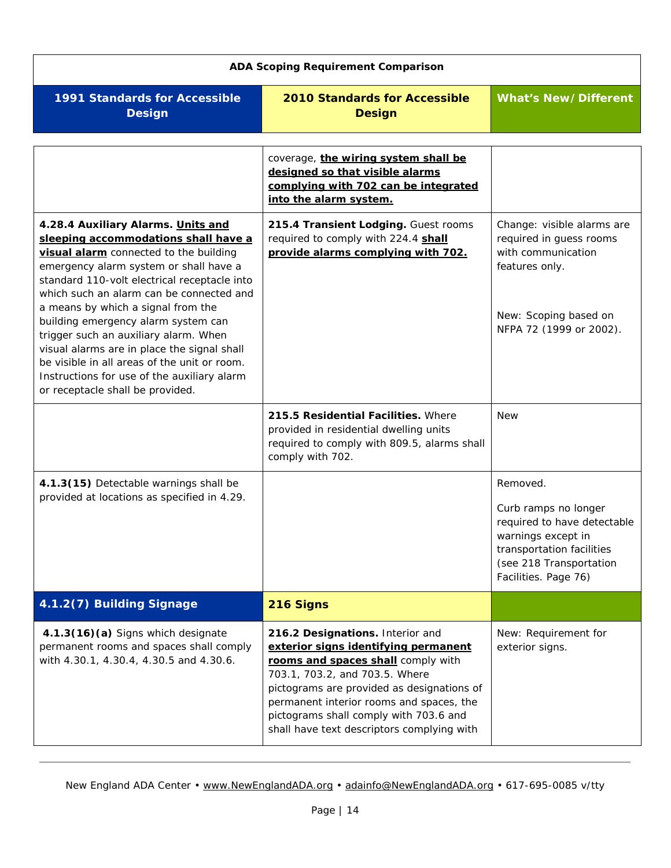<span id="page-13-3"></span><span id="page-13-2"></span><span id="page-13-1"></span><span id="page-13-0"></span>

| <b>ADA Scoping Requirement Comparison</b>                                                                                                                                                                                                                                                                                                                                                                                                                                                                                                                          |                                                                                                                                                                                                                                                                                                                                    |                                                                                                                                                                       |
|--------------------------------------------------------------------------------------------------------------------------------------------------------------------------------------------------------------------------------------------------------------------------------------------------------------------------------------------------------------------------------------------------------------------------------------------------------------------------------------------------------------------------------------------------------------------|------------------------------------------------------------------------------------------------------------------------------------------------------------------------------------------------------------------------------------------------------------------------------------------------------------------------------------|-----------------------------------------------------------------------------------------------------------------------------------------------------------------------|
| <b>1991 Standards for Accessible</b><br><b>Design</b>                                                                                                                                                                                                                                                                                                                                                                                                                                                                                                              | <b>2010 Standards for Accessible</b><br><b>Design</b>                                                                                                                                                                                                                                                                              | <b>What's New/Different</b>                                                                                                                                           |
|                                                                                                                                                                                                                                                                                                                                                                                                                                                                                                                                                                    | coverage, the wiring system shall be<br>designed so that visible alarms<br>complying with 702 can be integrated<br>into the alarm system.                                                                                                                                                                                          |                                                                                                                                                                       |
| 4.28.4 Auxiliary Alarms. Units and<br>sleeping accommodations shall have a<br>visual alarm connected to the building<br>emergency alarm system or shall have a<br>standard 110-volt electrical receptacle into<br>which such an alarm can be connected and<br>a means by which a signal from the<br>building emergency alarm system can<br>trigger such an auxiliary alarm. When<br>visual alarms are in place the signal shall<br>be visible in all areas of the unit or room.<br>Instructions for use of the auxiliary alarm<br>or receptacle shall be provided. | 215.4 Transient Lodging. Guest rooms<br>required to comply with 224.4 shall<br>provide alarms complying with 702.                                                                                                                                                                                                                  | Change: visible alarms are<br>required in guess rooms<br>with communication<br>features only.<br>New: Scoping based on<br>NFPA 72 (1999 or 2002).                     |
|                                                                                                                                                                                                                                                                                                                                                                                                                                                                                                                                                                    | 215.5 Residential Facilities. Where<br>provided in residential dwelling units<br>required to comply with 809.5, alarms shall<br>comply with 702.                                                                                                                                                                                   | <b>New</b>                                                                                                                                                            |
| 4.1.3(15) Detectable warnings shall be<br>provided at locations as specified in 4.29.                                                                                                                                                                                                                                                                                                                                                                                                                                                                              |                                                                                                                                                                                                                                                                                                                                    | Removed.<br>Curb ramps no longer<br>required to have detectable<br>warnings except in<br>transportation facilities<br>(see 218 Transportation<br>Facilities. Page 76) |
| 4.1.2(7) Building Signage                                                                                                                                                                                                                                                                                                                                                                                                                                                                                                                                          | 216 Signs                                                                                                                                                                                                                                                                                                                          |                                                                                                                                                                       |
| 4.1.3(16)(a) Signs which designate<br>permanent rooms and spaces shall comply<br>with 4.30.1, 4.30.4, 4.30.5 and 4.30.6.                                                                                                                                                                                                                                                                                                                                                                                                                                           | 216.2 Designations. Interior and<br>exterior signs identifying permanent<br>rooms and spaces shall comply with<br>703.1, 703.2, and 703.5. Where<br>pictograms are provided as designations of<br>permanent interior rooms and spaces, the<br>pictograms shall comply with 703.6 and<br>shall have text descriptors complying with | New: Requirement for<br>exterior signs.                                                                                                                               |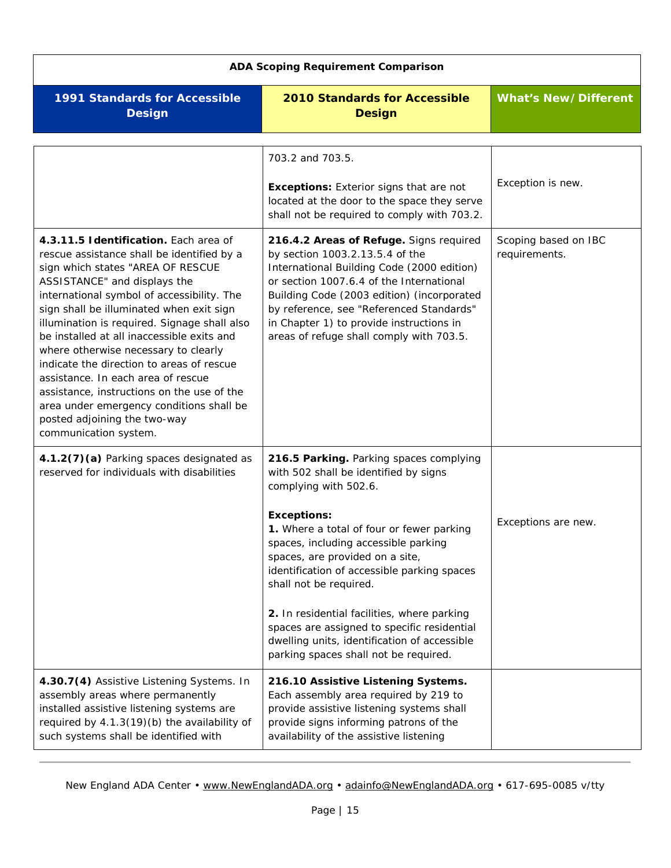<span id="page-14-2"></span><span id="page-14-1"></span><span id="page-14-0"></span>

| <b>ADA Scoping Requirement Comparison</b>                                                                                                                                                                                                                                                                                                                                                                                                                                                                                                                                                                                      |                                                                                                                                                                                                                                                                                                                                                                                                                                                                                                                         |                                       |
|--------------------------------------------------------------------------------------------------------------------------------------------------------------------------------------------------------------------------------------------------------------------------------------------------------------------------------------------------------------------------------------------------------------------------------------------------------------------------------------------------------------------------------------------------------------------------------------------------------------------------------|-------------------------------------------------------------------------------------------------------------------------------------------------------------------------------------------------------------------------------------------------------------------------------------------------------------------------------------------------------------------------------------------------------------------------------------------------------------------------------------------------------------------------|---------------------------------------|
| <b>1991 Standards for Accessible</b><br><b>Design</b>                                                                                                                                                                                                                                                                                                                                                                                                                                                                                                                                                                          | <b>2010 Standards for Accessible</b><br><b>Design</b>                                                                                                                                                                                                                                                                                                                                                                                                                                                                   | <b>What's New/Different</b>           |
|                                                                                                                                                                                                                                                                                                                                                                                                                                                                                                                                                                                                                                | 703.2 and 703.5.<br><b>Exceptions:</b> Exterior signs that are not<br>located at the door to the space they serve<br>shall not be required to comply with 703.2.                                                                                                                                                                                                                                                                                                                                                        | Exception is new.                     |
| 4.3.11.5 Identification. Each area of<br>rescue assistance shall be identified by a<br>sign which states "AREA OF RESCUE<br>ASSISTANCE" and displays the<br>international symbol of accessibility. The<br>sign shall be illuminated when exit sign<br>illumination is required. Signage shall also<br>be installed at all inaccessible exits and<br>where otherwise necessary to clearly<br>indicate the direction to areas of rescue<br>assistance. In each area of rescue<br>assistance, instructions on the use of the<br>area under emergency conditions shall be<br>posted adjoining the two-way<br>communication system. | 216.4.2 Areas of Refuge. Signs required<br>by section 1003.2.13.5.4 of the<br>International Building Code (2000 edition)<br>or section 1007.6.4 of the International<br>Building Code (2003 edition) (incorporated<br>by reference, see "Referenced Standards"<br>in Chapter 1) to provide instructions in<br>areas of refuge shall comply with 703.5.                                                                                                                                                                  | Scoping based on IBC<br>requirements. |
| 4.1.2(7)(a) Parking spaces designated as<br>reserved for individuals with disabilities                                                                                                                                                                                                                                                                                                                                                                                                                                                                                                                                         | 216.5 Parking. Parking spaces complying<br>with 502 shall be identified by signs<br>complying with 502.6.<br><b>Exceptions:</b><br>1. Where a total of four or fewer parking<br>spaces, including accessible parking<br>spaces, are provided on a site,<br>identification of accessible parking spaces<br>shall not be required.<br>2. In residential facilities, where parking<br>spaces are assigned to specific residential<br>dwelling units, identification of accessible<br>parking spaces shall not be required. | Exceptions are new.                   |
| 4.30.7(4) Assistive Listening Systems. In<br>assembly areas where permanently<br>installed assistive listening systems are<br>required by 4.1.3(19)(b) the availability of<br>such systems shall be identified with                                                                                                                                                                                                                                                                                                                                                                                                            | 216.10 Assistive Listening Systems.<br>Each assembly area required by 219 to<br>provide assistive listening systems shall<br>provide signs informing patrons of the<br>availability of the assistive listening                                                                                                                                                                                                                                                                                                          |                                       |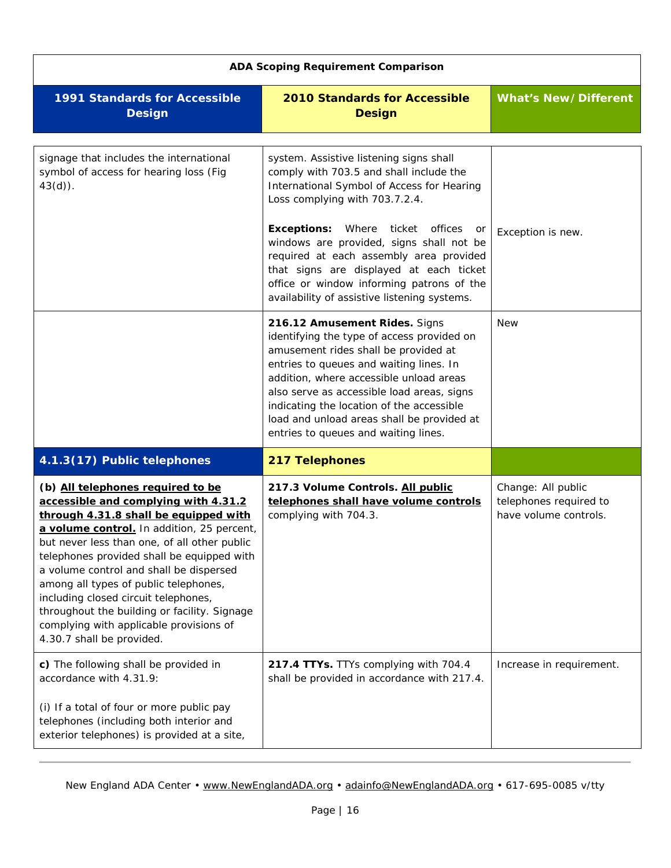<span id="page-15-3"></span><span id="page-15-2"></span><span id="page-15-1"></span><span id="page-15-0"></span>

| <b>ADA Scoping Requirement Comparison</b>                                                                                                                                                                                                                                                                                                                                                                                                                                                                          |                                                                                                                                                                                                                                                                                                                                                                                                                                                       |                                                                       |
|--------------------------------------------------------------------------------------------------------------------------------------------------------------------------------------------------------------------------------------------------------------------------------------------------------------------------------------------------------------------------------------------------------------------------------------------------------------------------------------------------------------------|-------------------------------------------------------------------------------------------------------------------------------------------------------------------------------------------------------------------------------------------------------------------------------------------------------------------------------------------------------------------------------------------------------------------------------------------------------|-----------------------------------------------------------------------|
| <b>1991 Standards for Accessible</b><br><b>Design</b>                                                                                                                                                                                                                                                                                                                                                                                                                                                              | <b>2010 Standards for Accessible</b><br><b>Design</b>                                                                                                                                                                                                                                                                                                                                                                                                 | <b>What's New/Different</b>                                           |
| signage that includes the international<br>symbol of access for hearing loss (Fig.<br>$43(d)$ .                                                                                                                                                                                                                                                                                                                                                                                                                    | system. Assistive listening signs shall<br>comply with 703.5 and shall include the<br>International Symbol of Access for Hearing<br>Loss complying with 703.7.2.4.<br><b>Exceptions:</b> Where ticket<br>offices<br>or<br>windows are provided, signs shall not be<br>required at each assembly area provided<br>that signs are displayed at each ticket<br>office or window informing patrons of the<br>availability of assistive listening systems. | Exception is new.                                                     |
|                                                                                                                                                                                                                                                                                                                                                                                                                                                                                                                    | 216.12 Amusement Rides. Signs<br>identifying the type of access provided on<br>amusement rides shall be provided at<br>entries to queues and waiting lines. In<br>addition, where accessible unload areas<br>also serve as accessible load areas, signs<br>indicating the location of the accessible<br>load and unload areas shall be provided at<br>entries to queues and waiting lines.                                                            | <b>New</b>                                                            |
| 4.1.3(17) Public telephones                                                                                                                                                                                                                                                                                                                                                                                                                                                                                        | 217 Telephones                                                                                                                                                                                                                                                                                                                                                                                                                                        |                                                                       |
| (b) All telephones required to be<br>accessible and complying with 4.31.2<br>through 4.31.8 shall be equipped with<br>a volume control. In addition, 25 percent,<br>but never less than one, of all other public<br>telephones provided shall be equipped with<br>a volume control and shall be dispersed<br>among all types of public telephones,<br>including closed circuit telephones,<br>throughout the building or facility. Signage<br>complying with applicable provisions of<br>4.30.7 shall be provided. | 217.3 Volume Controls. All public<br>telephones shall have volume controls<br>complying with 704.3.                                                                                                                                                                                                                                                                                                                                                   | Change: All public<br>telephones required to<br>have volume controls. |
| c) The following shall be provided in<br>accordance with 4.31.9:<br>(i) If a total of four or more public pay<br>telephones (including both interior and<br>exterior telephones) is provided at a site,                                                                                                                                                                                                                                                                                                            | 217.4 TTYs. TTYs complying with 704.4<br>shall be provided in accordance with 217.4.                                                                                                                                                                                                                                                                                                                                                                  | Increase in requirement.                                              |
|                                                                                                                                                                                                                                                                                                                                                                                                                                                                                                                    |                                                                                                                                                                                                                                                                                                                                                                                                                                                       |                                                                       |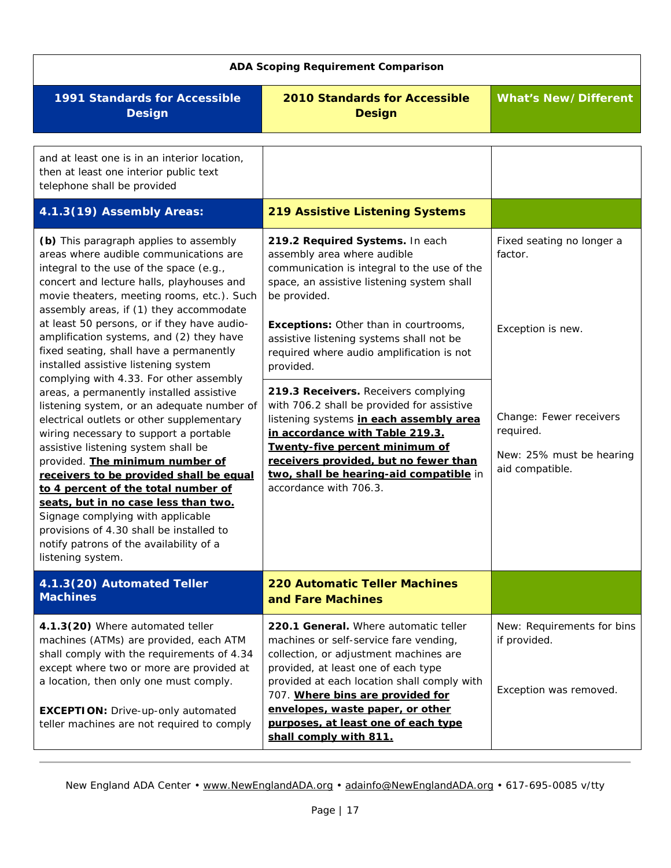<span id="page-16-3"></span><span id="page-16-2"></span><span id="page-16-1"></span><span id="page-16-0"></span>

| <b>ADA Scoping Requirement Comparison</b>                                                                                                                                                                                                                                                                                                                                                                                                                                                                                                                                                                                                                                                                                                                                                                                                                                                                            |                                                                                                                                                                                                                                                                                                                                                                                                                                                                                                                                                                                                                                                       |                                                                                                                                                  |
|----------------------------------------------------------------------------------------------------------------------------------------------------------------------------------------------------------------------------------------------------------------------------------------------------------------------------------------------------------------------------------------------------------------------------------------------------------------------------------------------------------------------------------------------------------------------------------------------------------------------------------------------------------------------------------------------------------------------------------------------------------------------------------------------------------------------------------------------------------------------------------------------------------------------|-------------------------------------------------------------------------------------------------------------------------------------------------------------------------------------------------------------------------------------------------------------------------------------------------------------------------------------------------------------------------------------------------------------------------------------------------------------------------------------------------------------------------------------------------------------------------------------------------------------------------------------------------------|--------------------------------------------------------------------------------------------------------------------------------------------------|
| <b>1991 Standards for Accessible</b><br><b>Design</b>                                                                                                                                                                                                                                                                                                                                                                                                                                                                                                                                                                                                                                                                                                                                                                                                                                                                | <b>2010 Standards for Accessible</b><br><b>Design</b>                                                                                                                                                                                                                                                                                                                                                                                                                                                                                                                                                                                                 | <b>What's New/Different</b>                                                                                                                      |
| and at least one is in an interior location,<br>then at least one interior public text<br>telephone shall be provided                                                                                                                                                                                                                                                                                                                                                                                                                                                                                                                                                                                                                                                                                                                                                                                                |                                                                                                                                                                                                                                                                                                                                                                                                                                                                                                                                                                                                                                                       |                                                                                                                                                  |
| 4.1.3(19) Assembly Areas:                                                                                                                                                                                                                                                                                                                                                                                                                                                                                                                                                                                                                                                                                                                                                                                                                                                                                            | <b>219 Assistive Listening Systems</b>                                                                                                                                                                                                                                                                                                                                                                                                                                                                                                                                                                                                                |                                                                                                                                                  |
| (b) This paragraph applies to assembly<br>areas where audible communications are<br>integral to the use of the space (e.g.,<br>concert and lecture halls, playhouses and<br>movie theaters, meeting rooms, etc.). Such<br>assembly areas, if (1) they accommodate<br>at least 50 persons, or if they have audio-<br>amplification systems, and (2) they have<br>fixed seating, shall have a permanently<br>installed assistive listening system<br>complying with 4.33. For other assembly<br>areas, a permanently installed assistive<br>listening system, or an adequate number of<br>electrical outlets or other supplementary<br>wiring necessary to support a portable<br>assistive listening system shall be<br>provided. The minimum number of<br>receivers to be provided shall be equal<br>to 4 percent of the total number of<br>seats, but in no case less than two.<br>Signage complying with applicable | 219.2 Required Systems. In each<br>assembly area where audible<br>communication is integral to the use of the<br>space, an assistive listening system shall<br>be provided.<br><b>Exceptions:</b> Other than in courtrooms,<br>assistive listening systems shall not be<br>required where audio amplification is not<br>provided.<br>219.3 Receivers. Receivers complying<br>with 706.2 shall be provided for assistive<br>listening systems in each assembly area<br>in accordance with Table 219.3.<br>Twenty-five percent minimum of<br>receivers provided, but no fewer than<br>two, shall be hearing-aid compatible in<br>accordance with 706.3. | Fixed seating no longer a<br>factor.<br>Exception is new.<br>Change: Fewer receivers<br>required.<br>New: 25% must be hearing<br>aid compatible. |
| provisions of 4.30 shall be installed to<br>notify patrons of the availability of a<br>listening system.                                                                                                                                                                                                                                                                                                                                                                                                                                                                                                                                                                                                                                                                                                                                                                                                             |                                                                                                                                                                                                                                                                                                                                                                                                                                                                                                                                                                                                                                                       |                                                                                                                                                  |
| 4.1.3(20) Automated Teller<br><b>Machines</b>                                                                                                                                                                                                                                                                                                                                                                                                                                                                                                                                                                                                                                                                                                                                                                                                                                                                        | <b>220 Automatic Teller Machines</b><br>and Fare Machines                                                                                                                                                                                                                                                                                                                                                                                                                                                                                                                                                                                             |                                                                                                                                                  |
| 4.1.3(20) Where automated teller<br>machines (ATMs) are provided, each ATM<br>shall comply with the requirements of 4.34<br>except where two or more are provided at<br>a location, then only one must comply.<br><b>EXCEPTION:</b> Drive-up-only automated<br>teller machines are not required to comply                                                                                                                                                                                                                                                                                                                                                                                                                                                                                                                                                                                                            | 220.1 General. Where automatic teller<br>machines or self-service fare vending,<br>collection, or adjustment machines are<br>provided, at least one of each type<br>provided at each location shall comply with<br>707. Where bins are provided for<br>envelopes, waste paper, or other<br>purposes, at least one of each type<br>shall comply with 811.                                                                                                                                                                                                                                                                                              | New: Requirements for bins<br>if provided.<br>Exception was removed.                                                                             |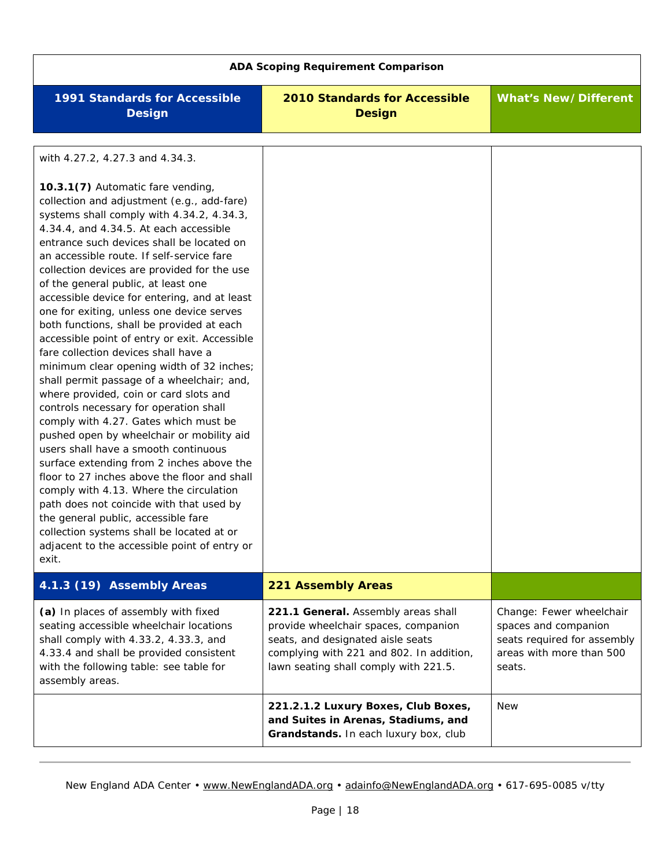<span id="page-17-1"></span><span id="page-17-0"></span>

| <b>ADA Scoping Requirement Comparison</b>                                                                                                                                                                                                                                                                                                                                                                                                                                                                                                                                                                                                                                                                                                                                                                                                                                                                                                                                                                                                                                                                                                                                                                                                                                                               |                                                                                                                                                                                                       |                                                                                                                       |
|---------------------------------------------------------------------------------------------------------------------------------------------------------------------------------------------------------------------------------------------------------------------------------------------------------------------------------------------------------------------------------------------------------------------------------------------------------------------------------------------------------------------------------------------------------------------------------------------------------------------------------------------------------------------------------------------------------------------------------------------------------------------------------------------------------------------------------------------------------------------------------------------------------------------------------------------------------------------------------------------------------------------------------------------------------------------------------------------------------------------------------------------------------------------------------------------------------------------------------------------------------------------------------------------------------|-------------------------------------------------------------------------------------------------------------------------------------------------------------------------------------------------------|-----------------------------------------------------------------------------------------------------------------------|
| <b>1991 Standards for Accessible</b><br><b>Design</b>                                                                                                                                                                                                                                                                                                                                                                                                                                                                                                                                                                                                                                                                                                                                                                                                                                                                                                                                                                                                                                                                                                                                                                                                                                                   | <b>2010 Standards for Accessible</b><br><b>Design</b>                                                                                                                                                 | <b>What's New/Different</b>                                                                                           |
| with 4.27.2, 4.27.3 and 4.34.3.<br>10.3.1(7) Automatic fare vending,<br>collection and adjustment (e.g., add-fare)<br>systems shall comply with 4.34.2, 4.34.3,<br>4.34.4, and 4.34.5. At each accessible<br>entrance such devices shall be located on<br>an accessible route. If self-service fare<br>collection devices are provided for the use<br>of the general public, at least one<br>accessible device for entering, and at least<br>one for exiting, unless one device serves<br>both functions, shall be provided at each<br>accessible point of entry or exit. Accessible<br>fare collection devices shall have a<br>minimum clear opening width of 32 inches;<br>shall permit passage of a wheelchair; and,<br>where provided, coin or card slots and<br>controls necessary for operation shall<br>comply with 4.27. Gates which must be<br>pushed open by wheelchair or mobility aid<br>users shall have a smooth continuous<br>surface extending from 2 inches above the<br>floor to 27 inches above the floor and shall<br>comply with 4.13. Where the circulation<br>path does not coincide with that used by<br>the general public, accessible fare<br>collection systems shall be located at or<br>adjacent to the accessible point of entry or<br>exit.<br>4.1.3 (19) Assembly Areas | <b>221 Assembly Areas</b>                                                                                                                                                                             |                                                                                                                       |
| (a) In places of assembly with fixed<br>seating accessible wheelchair locations<br>shall comply with 4.33.2, 4.33.3, and<br>4.33.4 and shall be provided consistent<br>with the following table: see table for<br>assembly areas.                                                                                                                                                                                                                                                                                                                                                                                                                                                                                                                                                                                                                                                                                                                                                                                                                                                                                                                                                                                                                                                                       | 221.1 General. Assembly areas shall<br>provide wheelchair spaces, companion<br>seats, and designated aisle seats<br>complying with 221 and 802. In addition,<br>lawn seating shall comply with 221.5. | Change: Fewer wheelchair<br>spaces and companion<br>seats required for assembly<br>areas with more than 500<br>seats. |
|                                                                                                                                                                                                                                                                                                                                                                                                                                                                                                                                                                                                                                                                                                                                                                                                                                                                                                                                                                                                                                                                                                                                                                                                                                                                                                         | 221.2.1.2 Luxury Boxes, Club Boxes,<br>and Suites in Arenas, Stadiums, and<br>Grandstands. In each luxury box, club                                                                                   | <b>New</b>                                                                                                            |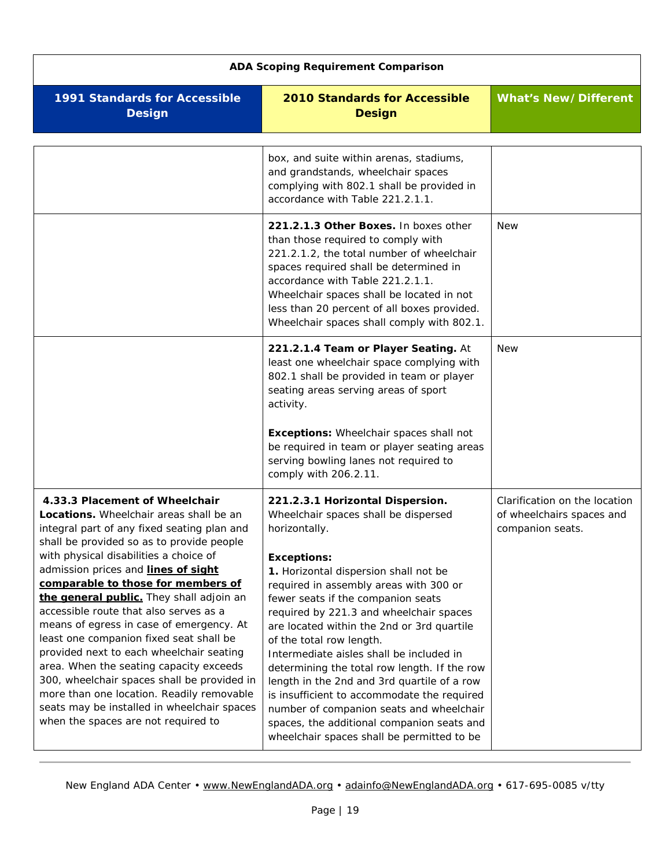<span id="page-18-2"></span><span id="page-18-1"></span><span id="page-18-0"></span>

| <b>ADA Scoping Requirement Comparison</b>                                                                                                                                                                                                                                                                                                                                                                                                                                                                                                                                                                                                                                                                                                          |                                                                                                                                                                                                                                                                                                                                                                                                                                                                                                                                                                                                                                                                                                 |                                                                                |
|----------------------------------------------------------------------------------------------------------------------------------------------------------------------------------------------------------------------------------------------------------------------------------------------------------------------------------------------------------------------------------------------------------------------------------------------------------------------------------------------------------------------------------------------------------------------------------------------------------------------------------------------------------------------------------------------------------------------------------------------------|-------------------------------------------------------------------------------------------------------------------------------------------------------------------------------------------------------------------------------------------------------------------------------------------------------------------------------------------------------------------------------------------------------------------------------------------------------------------------------------------------------------------------------------------------------------------------------------------------------------------------------------------------------------------------------------------------|--------------------------------------------------------------------------------|
| <b>1991 Standards for Accessible</b><br><b>Design</b>                                                                                                                                                                                                                                                                                                                                                                                                                                                                                                                                                                                                                                                                                              | <b>2010 Standards for Accessible</b><br><b>Design</b>                                                                                                                                                                                                                                                                                                                                                                                                                                                                                                                                                                                                                                           | <b>What's New/Different</b>                                                    |
|                                                                                                                                                                                                                                                                                                                                                                                                                                                                                                                                                                                                                                                                                                                                                    | box, and suite within arenas, stadiums,<br>and grandstands, wheelchair spaces<br>complying with 802.1 shall be provided in<br>accordance with Table 221.2.1.1.                                                                                                                                                                                                                                                                                                                                                                                                                                                                                                                                  |                                                                                |
|                                                                                                                                                                                                                                                                                                                                                                                                                                                                                                                                                                                                                                                                                                                                                    | 221.2.1.3 Other Boxes. In boxes other<br>than those required to comply with<br>221.2.1.2, the total number of wheelchair<br>spaces required shall be determined in<br>accordance with Table 221.2.1.1.<br>Wheelchair spaces shall be located in not<br>less than 20 percent of all boxes provided.<br>Wheelchair spaces shall comply with 802.1.                                                                                                                                                                                                                                                                                                                                                | <b>New</b>                                                                     |
|                                                                                                                                                                                                                                                                                                                                                                                                                                                                                                                                                                                                                                                                                                                                                    | 221.2.1.4 Team or Player Seating. At<br>least one wheelchair space complying with<br>802.1 shall be provided in team or player<br>seating areas serving areas of sport<br>activity.<br><b>Exceptions:</b> Wheelchair spaces shall not<br>be required in team or player seating areas<br>serving bowling lanes not required to<br>comply with 206.2.11.                                                                                                                                                                                                                                                                                                                                          | <b>New</b>                                                                     |
| 4.33.3 Placement of Wheelchair<br>Locations. Wheelchair areas shall be an<br>integral part of any fixed seating plan and<br>shall be provided so as to provide people<br>with physical disabilities a choice of<br>admission prices and lines of sight<br>comparable to those for members of<br>the general public. They shall adjoin an<br>accessible route that also serves as a<br>means of egress in case of emergency. At<br>least one companion fixed seat shall be<br>provided next to each wheelchair seating<br>area. When the seating capacity exceeds<br>300, wheelchair spaces shall be provided in<br>more than one location. Readily removable<br>seats may be installed in wheelchair spaces<br>when the spaces are not required to | 221.2.3.1 Horizontal Dispersion.<br>Wheelchair spaces shall be dispersed<br>horizontally.<br><b>Exceptions:</b><br>1. Horizontal dispersion shall not be<br>required in assembly areas with 300 or<br>fewer seats if the companion seats<br>required by 221.3 and wheelchair spaces<br>are located within the 2nd or 3rd quartile<br>of the total row length.<br>Intermediate aisles shall be included in<br>determining the total row length. If the row<br>length in the 2nd and 3rd quartile of a row<br>is insufficient to accommodate the required<br>number of companion seats and wheelchair<br>spaces, the additional companion seats and<br>wheelchair spaces shall be permitted to be | Clarification on the location<br>of wheelchairs spaces and<br>companion seats. |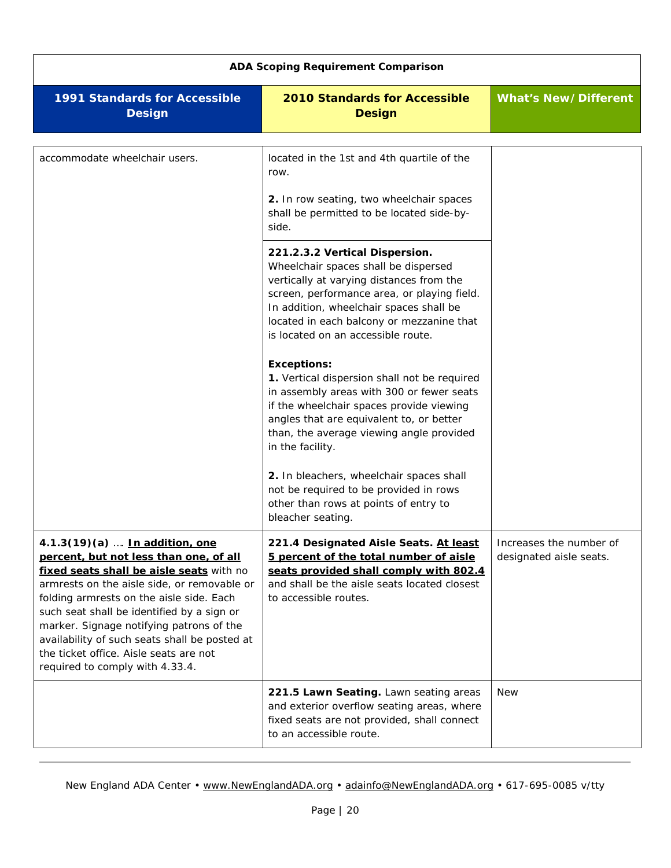<span id="page-19-2"></span><span id="page-19-1"></span><span id="page-19-0"></span>

| <b>ADA Scoping Requirement Comparison</b>                                                                                                                                                                                                                                                                                                                                                                                               |                                                                                                                                                                                                                                                                                                                                                                                                                                                                                                                                                                            |                                                    |
|-----------------------------------------------------------------------------------------------------------------------------------------------------------------------------------------------------------------------------------------------------------------------------------------------------------------------------------------------------------------------------------------------------------------------------------------|----------------------------------------------------------------------------------------------------------------------------------------------------------------------------------------------------------------------------------------------------------------------------------------------------------------------------------------------------------------------------------------------------------------------------------------------------------------------------------------------------------------------------------------------------------------------------|----------------------------------------------------|
| <b>1991 Standards for Accessible</b><br><b>Design</b>                                                                                                                                                                                                                                                                                                                                                                                   | <b>2010 Standards for Accessible</b><br><b>Design</b>                                                                                                                                                                                                                                                                                                                                                                                                                                                                                                                      | <b>What's New/Different</b>                        |
| accommodate wheelchair users.                                                                                                                                                                                                                                                                                                                                                                                                           | located in the 1st and 4th quartile of the<br>row.<br>2. In row seating, two wheelchair spaces<br>shall be permitted to be located side-by-<br>side.<br>221.2.3.2 Vertical Dispersion.<br>Wheelchair spaces shall be dispersed<br>vertically at varying distances from the<br>screen, performance area, or playing field.<br>In addition, wheelchair spaces shall be<br>located in each balcony or mezzanine that<br>is located on an accessible route.<br><b>Exceptions:</b><br>1. Vertical dispersion shall not be required<br>in assembly areas with 300 or fewer seats |                                                    |
|                                                                                                                                                                                                                                                                                                                                                                                                                                         | if the wheelchair spaces provide viewing<br>angles that are equivalent to, or better<br>than, the average viewing angle provided<br>in the facility.<br>2. In bleachers, wheelchair spaces shall<br>not be required to be provided in rows<br>other than rows at points of entry to<br>bleacher seating.                                                                                                                                                                                                                                                                   |                                                    |
| 4.1.3(19)(a)  In addition, one<br>percent, but not less than one, of all<br>fixed seats shall be aisle seats with no<br>armrests on the aisle side, or removable or<br>folding armrests on the aisle side. Each<br>such seat shall be identified by a sign or<br>marker. Signage notifying patrons of the<br>availability of such seats shall be posted at<br>the ticket office. Aisle seats are not<br>required to comply with 4.33.4. | 221.4 Designated Aisle Seats. At least<br>5 percent of the total number of aisle<br>seats provided shall comply with 802.4<br>and shall be the aisle seats located closest<br>to accessible routes.                                                                                                                                                                                                                                                                                                                                                                        | Increases the number of<br>designated aisle seats. |
|                                                                                                                                                                                                                                                                                                                                                                                                                                         | 221.5 Lawn Seating. Lawn seating areas<br>and exterior overflow seating areas, where<br>fixed seats are not provided, shall connect<br>to an accessible route.                                                                                                                                                                                                                                                                                                                                                                                                             | <b>New</b>                                         |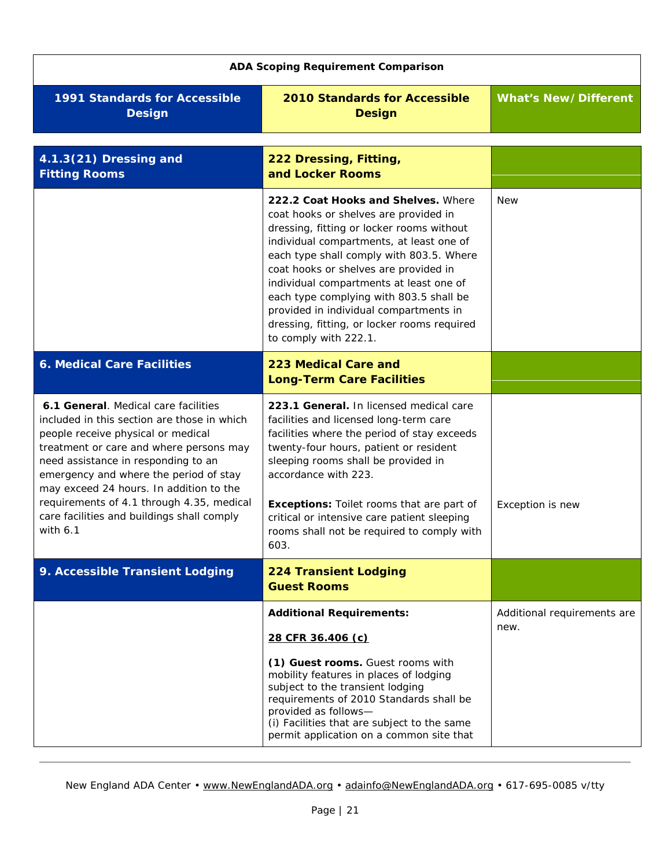<span id="page-20-3"></span><span id="page-20-2"></span><span id="page-20-1"></span><span id="page-20-0"></span>

| <b>ADA Scoping Requirement Comparison</b>                                                                                                                                                                                                                                                                                                                                                   |                                                                                                                                                                                                                                                                                                                                                                                                                                                                    |                                     |
|---------------------------------------------------------------------------------------------------------------------------------------------------------------------------------------------------------------------------------------------------------------------------------------------------------------------------------------------------------------------------------------------|--------------------------------------------------------------------------------------------------------------------------------------------------------------------------------------------------------------------------------------------------------------------------------------------------------------------------------------------------------------------------------------------------------------------------------------------------------------------|-------------------------------------|
| 1991 Standards for Accessible<br><b>Design</b>                                                                                                                                                                                                                                                                                                                                              | <b>2010 Standards for Accessible</b><br><b>Design</b>                                                                                                                                                                                                                                                                                                                                                                                                              | <b>What's New/Different</b>         |
| 4.1.3(21) Dressing and<br><b>Fitting Rooms</b>                                                                                                                                                                                                                                                                                                                                              | 222 Dressing, Fitting,<br>and Locker Rooms                                                                                                                                                                                                                                                                                                                                                                                                                         |                                     |
|                                                                                                                                                                                                                                                                                                                                                                                             | 222.2 Coat Hooks and Shelves. Where<br>coat hooks or shelves are provided in<br>dressing, fitting or locker rooms without<br>individual compartments, at least one of<br>each type shall comply with 803.5. Where<br>coat hooks or shelves are provided in<br>individual compartments at least one of<br>each type complying with 803.5 shall be<br>provided in individual compartments in<br>dressing, fitting, or locker rooms required<br>to comply with 222.1. | <b>New</b>                          |
| <b>6. Medical Care Facilities</b>                                                                                                                                                                                                                                                                                                                                                           | 223 Medical Care and<br><b>Long-Term Care Facilities</b>                                                                                                                                                                                                                                                                                                                                                                                                           |                                     |
| 6.1 General. Medical care facilities<br>included in this section are those in which<br>people receive physical or medical<br>treatment or care and where persons may<br>need assistance in responding to an<br>emergency and where the period of stay<br>may exceed 24 hours. In addition to the<br>requirements of 4.1 through 4.35, medical<br>care facilities and buildings shall comply | 223.1 General. In licensed medical care<br>facilities and licensed long-term care<br>facilities where the period of stay exceeds<br>twenty-four hours, patient or resident<br>sleeping rooms shall be provided in<br>accordance with 223.<br><b>Exceptions:</b> Toilet rooms that are part of                                                                                                                                                                      | Exception is new                    |
| with $6.1$                                                                                                                                                                                                                                                                                                                                                                                  | critical or intensive care patient sleeping<br>rooms shall not be required to comply with<br>603.                                                                                                                                                                                                                                                                                                                                                                  |                                     |
| 9. Accessible Transient Lodging                                                                                                                                                                                                                                                                                                                                                             | <b>224 Transient Lodging</b><br><b>Guest Rooms</b>                                                                                                                                                                                                                                                                                                                                                                                                                 |                                     |
|                                                                                                                                                                                                                                                                                                                                                                                             | <b>Additional Requirements:</b><br>28 CFR 36.406 (c)                                                                                                                                                                                                                                                                                                                                                                                                               | Additional requirements are<br>new. |
|                                                                                                                                                                                                                                                                                                                                                                                             | (1) Guest rooms. Guest rooms with<br>mobility features in places of lodging<br>subject to the transient lodging<br>requirements of 2010 Standards shall be<br>provided as follows-<br>(i) Facilities that are subject to the same<br>permit application on a common site that                                                                                                                                                                                      |                                     |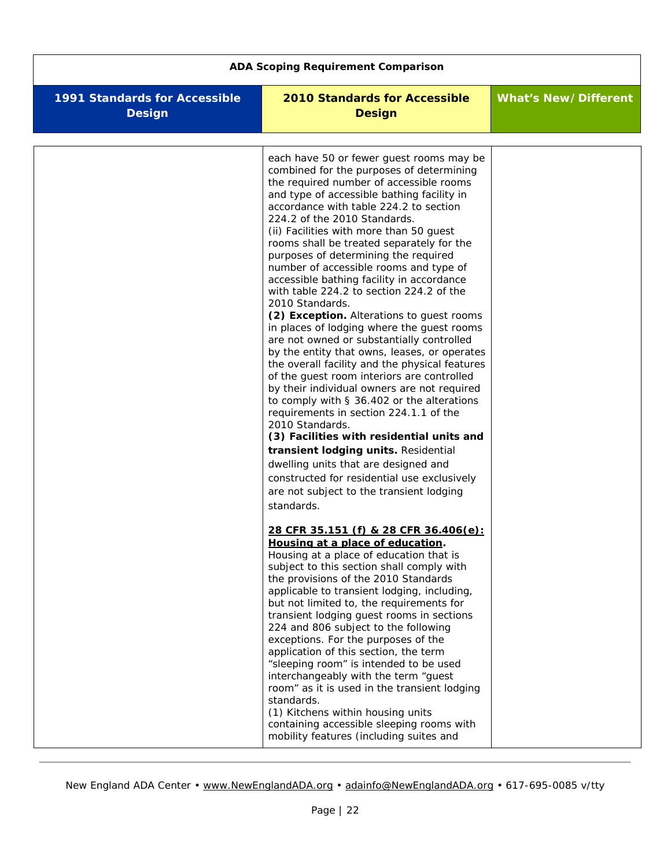| <b>ADA Scoping Requirement Comparison</b>             |                                                                                                                                                                                                                                                                                                                                                                                                                                                                                                                                                                                                                                                                                                                                                                                                                                                                                                                                                                                                                                                                                                                                                                                                                                                                                                                                                                                                                                                                                                                                                                                                                                                                                                                                                                                                                                                                                                                                                                                                 |                             |
|-------------------------------------------------------|-------------------------------------------------------------------------------------------------------------------------------------------------------------------------------------------------------------------------------------------------------------------------------------------------------------------------------------------------------------------------------------------------------------------------------------------------------------------------------------------------------------------------------------------------------------------------------------------------------------------------------------------------------------------------------------------------------------------------------------------------------------------------------------------------------------------------------------------------------------------------------------------------------------------------------------------------------------------------------------------------------------------------------------------------------------------------------------------------------------------------------------------------------------------------------------------------------------------------------------------------------------------------------------------------------------------------------------------------------------------------------------------------------------------------------------------------------------------------------------------------------------------------------------------------------------------------------------------------------------------------------------------------------------------------------------------------------------------------------------------------------------------------------------------------------------------------------------------------------------------------------------------------------------------------------------------------------------------------------------------------|-----------------------------|
| <b>1991 Standards for Accessible</b><br><b>Design</b> | <b>2010 Standards for Accessible</b><br><b>Design</b>                                                                                                                                                                                                                                                                                                                                                                                                                                                                                                                                                                                                                                                                                                                                                                                                                                                                                                                                                                                                                                                                                                                                                                                                                                                                                                                                                                                                                                                                                                                                                                                                                                                                                                                                                                                                                                                                                                                                           | <b>What's New/Different</b> |
|                                                       | each have 50 or fewer guest rooms may be<br>combined for the purposes of determining<br>the required number of accessible rooms<br>and type of accessible bathing facility in<br>accordance with table 224.2 to section<br>224.2 of the 2010 Standards.<br>(ii) Facilities with more than 50 guest<br>rooms shall be treated separately for the<br>purposes of determining the required<br>number of accessible rooms and type of<br>accessible bathing facility in accordance<br>with table 224.2 to section 224.2 of the<br>2010 Standards.<br>(2) Exception. Alterations to guest rooms<br>in places of lodging where the guest rooms<br>are not owned or substantially controlled<br>by the entity that owns, leases, or operates<br>the overall facility and the physical features<br>of the guest room interiors are controlled<br>by their individual owners are not required<br>to comply with § 36.402 or the alterations<br>requirements in section 224.1.1 of the<br>2010 Standards.<br>(3) Facilities with residential units and<br>transient lodging units. Residential<br>dwelling units that are designed and<br>constructed for residential use exclusively<br>are not subject to the transient lodging<br>standards.<br>28 CFR 35.151 (f) & 28 CFR 36.406(e):<br>Housing at a place of education.<br>Housing at a place of education that is<br>subject to this section shall comply with<br>the provisions of the 2010 Standards<br>applicable to transient lodging, including,<br>but not limited to, the requirements for<br>transient lodging quest rooms in sections<br>224 and 806 subject to the following<br>exceptions. For the purposes of the<br>application of this section, the term<br>"sleeping room" is intended to be used<br>interchangeably with the term "guest<br>room" as it is used in the transient lodging<br>standards.<br>(1) Kitchens within housing units<br>containing accessible sleeping rooms with<br>mobility features (including suites and |                             |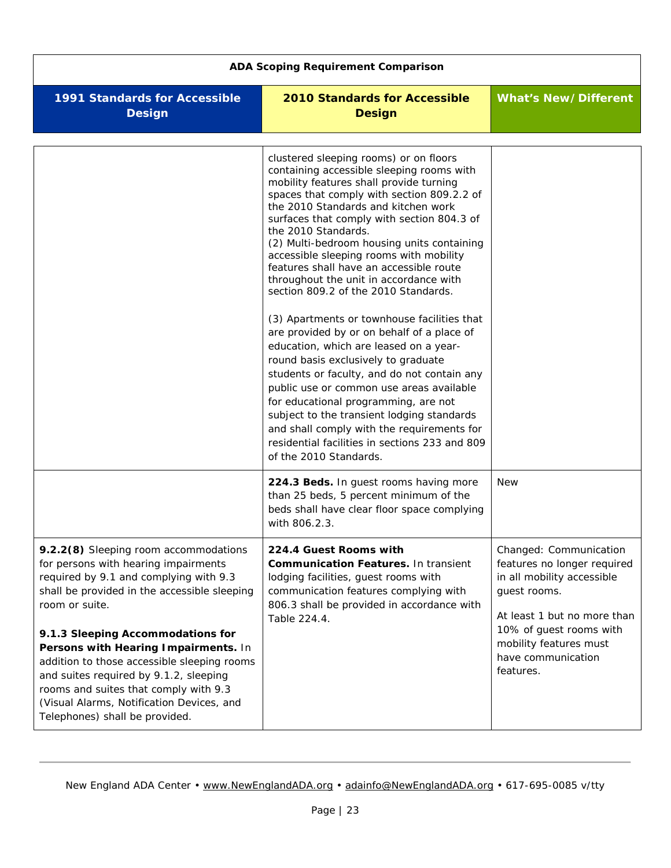<span id="page-22-1"></span><span id="page-22-0"></span>

| <b>ADA Scoping Requirement Comparison</b>                                                                                                                                                                                                                                                                                                                                                                                                                                               |                                                                                                                                                                                                                                                                                                                                                                                                                                                                                                                                                                                                                                                                                                                                                                                                                                                                                                                                                                                                         |                                                                                                                                                                                                                            |
|-----------------------------------------------------------------------------------------------------------------------------------------------------------------------------------------------------------------------------------------------------------------------------------------------------------------------------------------------------------------------------------------------------------------------------------------------------------------------------------------|---------------------------------------------------------------------------------------------------------------------------------------------------------------------------------------------------------------------------------------------------------------------------------------------------------------------------------------------------------------------------------------------------------------------------------------------------------------------------------------------------------------------------------------------------------------------------------------------------------------------------------------------------------------------------------------------------------------------------------------------------------------------------------------------------------------------------------------------------------------------------------------------------------------------------------------------------------------------------------------------------------|----------------------------------------------------------------------------------------------------------------------------------------------------------------------------------------------------------------------------|
| <b>1991 Standards for Accessible</b><br><b>Design</b>                                                                                                                                                                                                                                                                                                                                                                                                                                   | <b>2010 Standards for Accessible</b><br><b>Design</b>                                                                                                                                                                                                                                                                                                                                                                                                                                                                                                                                                                                                                                                                                                                                                                                                                                                                                                                                                   | <b>What's New/Different</b>                                                                                                                                                                                                |
|                                                                                                                                                                                                                                                                                                                                                                                                                                                                                         | clustered sleeping rooms) or on floors<br>containing accessible sleeping rooms with<br>mobility features shall provide turning<br>spaces that comply with section 809.2.2 of<br>the 2010 Standards and kitchen work<br>surfaces that comply with section 804.3 of<br>the 2010 Standards.<br>(2) Multi-bedroom housing units containing<br>accessible sleeping rooms with mobility<br>features shall have an accessible route<br>throughout the unit in accordance with<br>section 809.2 of the 2010 Standards.<br>(3) Apartments or townhouse facilities that<br>are provided by or on behalf of a place of<br>education, which are leased on a year-<br>round basis exclusively to graduate<br>students or faculty, and do not contain any<br>public use or common use areas available<br>for educational programming, are not<br>subject to the transient lodging standards<br>and shall comply with the requirements for<br>residential facilities in sections 233 and 809<br>of the 2010 Standards. |                                                                                                                                                                                                                            |
|                                                                                                                                                                                                                                                                                                                                                                                                                                                                                         | 224.3 Beds. In guest rooms having more<br>than 25 beds, 5 percent minimum of the<br>beds shall have clear floor space complying<br>with 806.2.3.                                                                                                                                                                                                                                                                                                                                                                                                                                                                                                                                                                                                                                                                                                                                                                                                                                                        | <b>New</b>                                                                                                                                                                                                                 |
| 9.2.2(8) Sleeping room accommodations<br>for persons with hearing impairments<br>required by 9.1 and complying with 9.3<br>shall be provided in the accessible sleeping<br>room or suite.<br>9.1.3 Sleeping Accommodations for<br>Persons with Hearing Impairments. In<br>addition to those accessible sleeping rooms<br>and suites required by 9.1.2, sleeping<br>rooms and suites that comply with 9.3<br>(Visual Alarms, Notification Devices, and<br>Telephones) shall be provided. | 224.4 Guest Rooms with<br><b>Communication Features. In transient</b><br>lodging facilities, guest rooms with<br>communication features complying with<br>806.3 shall be provided in accordance with<br>Table 224.4.                                                                                                                                                                                                                                                                                                                                                                                                                                                                                                                                                                                                                                                                                                                                                                                    | Changed: Communication<br>features no longer required<br>in all mobility accessible<br>guest rooms.<br>At least 1 but no more than<br>10% of guest rooms with<br>mobility features must<br>have communication<br>features. |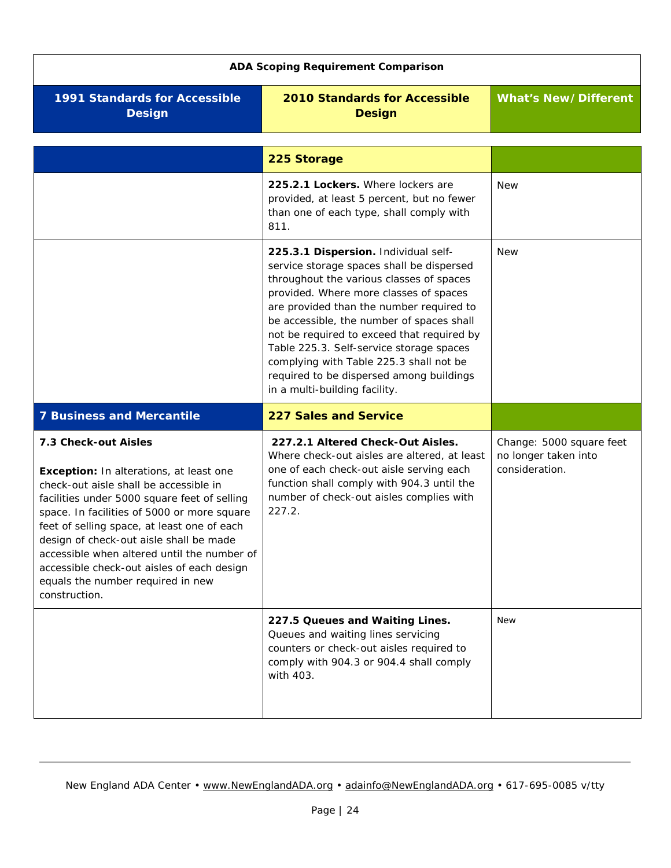<span id="page-23-5"></span><span id="page-23-4"></span><span id="page-23-3"></span><span id="page-23-2"></span><span id="page-23-1"></span><span id="page-23-0"></span>

| <b>ADA Scoping Requirement Comparison</b>                                                                                                                                                                                                                                                                                                                                                                                                             |                                                                                                                                                                                                                                                                                                                                                                                                                                                                                    |                                                                    |
|-------------------------------------------------------------------------------------------------------------------------------------------------------------------------------------------------------------------------------------------------------------------------------------------------------------------------------------------------------------------------------------------------------------------------------------------------------|------------------------------------------------------------------------------------------------------------------------------------------------------------------------------------------------------------------------------------------------------------------------------------------------------------------------------------------------------------------------------------------------------------------------------------------------------------------------------------|--------------------------------------------------------------------|
| 1991 Standards for Accessible<br><b>Design</b>                                                                                                                                                                                                                                                                                                                                                                                                        | <b>2010 Standards for Accessible</b><br><b>Design</b>                                                                                                                                                                                                                                                                                                                                                                                                                              | <b>What's New/Different</b>                                        |
|                                                                                                                                                                                                                                                                                                                                                                                                                                                       | 225 Storage                                                                                                                                                                                                                                                                                                                                                                                                                                                                        |                                                                    |
|                                                                                                                                                                                                                                                                                                                                                                                                                                                       | 225.2.1 Lockers. Where lockers are<br>provided, at least 5 percent, but no fewer<br>than one of each type, shall comply with<br>811.                                                                                                                                                                                                                                                                                                                                               | <b>New</b>                                                         |
|                                                                                                                                                                                                                                                                                                                                                                                                                                                       | 225.3.1 Dispersion. Individual self-<br>service storage spaces shall be dispersed<br>throughout the various classes of spaces<br>provided. Where more classes of spaces<br>are provided than the number required to<br>be accessible, the number of spaces shall<br>not be required to exceed that required by<br>Table 225.3. Self-service storage spaces<br>complying with Table 225.3 shall not be<br>required to be dispersed among buildings<br>in a multi-building facility. | <b>New</b>                                                         |
| <b>7 Business and Mercantile</b>                                                                                                                                                                                                                                                                                                                                                                                                                      | <b>227 Sales and Service</b>                                                                                                                                                                                                                                                                                                                                                                                                                                                       |                                                                    |
| 7.3 Check-out Aisles<br>Exception: In alterations, at least one<br>check-out aisle shall be accessible in<br>facilities under 5000 square feet of selling<br>space. In facilities of 5000 or more square<br>feet of selling space, at least one of each<br>design of check-out aisle shall be made<br>accessible when altered until the number of<br>accessible check-out aisles of each design<br>equals the number required in new<br>construction. | 227.2.1 Altered Check-Out Aisles.<br>Where check-out aisles are altered, at least<br>one of each check-out aisle serving each<br>function shall comply with 904.3 until the<br>number of check-out aisles complies with<br>227.2.                                                                                                                                                                                                                                                  | Change: 5000 square feet<br>no longer taken into<br>consideration. |
|                                                                                                                                                                                                                                                                                                                                                                                                                                                       | 227.5 Queues and Waiting Lines.<br>Queues and waiting lines servicing<br>counters or check-out aisles required to<br>comply with 904.3 or 904.4 shall comply<br>with 403.                                                                                                                                                                                                                                                                                                          | <b>New</b>                                                         |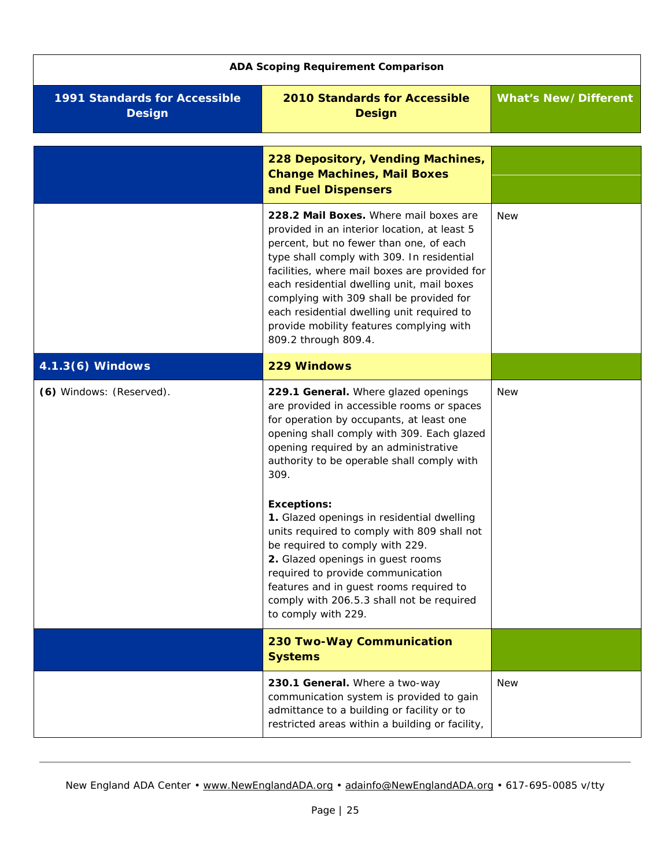<span id="page-24-3"></span><span id="page-24-2"></span><span id="page-24-1"></span><span id="page-24-0"></span>

| <b>ADA Scoping Requirement Comparison</b>             |                                                                                                                                                                                                                                                                                                                                                                                                                                              |                             |
|-------------------------------------------------------|----------------------------------------------------------------------------------------------------------------------------------------------------------------------------------------------------------------------------------------------------------------------------------------------------------------------------------------------------------------------------------------------------------------------------------------------|-----------------------------|
| <b>1991 Standards for Accessible</b><br><b>Design</b> | <b>2010 Standards for Accessible</b><br><b>Design</b>                                                                                                                                                                                                                                                                                                                                                                                        | <b>What's New/Different</b> |
|                                                       | 228 Depository, Vending Machines,<br><b>Change Machines, Mail Boxes</b><br>and Fuel Dispensers                                                                                                                                                                                                                                                                                                                                               |                             |
|                                                       | 228.2 Mail Boxes. Where mail boxes are<br>provided in an interior location, at least 5<br>percent, but no fewer than one, of each<br>type shall comply with 309. In residential<br>facilities, where mail boxes are provided for<br>each residential dwelling unit, mail boxes<br>complying with 309 shall be provided for<br>each residential dwelling unit required to<br>provide mobility features complying with<br>809.2 through 809.4. | <b>New</b>                  |
| 4.1.3(6) Windows                                      | 229 Windows                                                                                                                                                                                                                                                                                                                                                                                                                                  |                             |
| (6) Windows: (Reserved).                              | 229.1 General. Where glazed openings<br>are provided in accessible rooms or spaces<br>for operation by occupants, at least one<br>opening shall comply with 309. Each glazed<br>opening required by an administrative<br>authority to be operable shall comply with<br>309.<br><b>Exceptions:</b><br>1. Glazed openings in residential dwelling<br>units required to comply with 809 shall not                                               | <b>New</b>                  |
|                                                       | be required to comply with 229.<br>2. Glazed openings in guest rooms<br>required to provide communication<br>features and in guest rooms required to<br>comply with 206.5.3 shall not be required<br>to comply with 229.                                                                                                                                                                                                                     |                             |
|                                                       | 230 Two-Way Communication<br><b>Systems</b>                                                                                                                                                                                                                                                                                                                                                                                                  |                             |
|                                                       | 230.1 General. Where a two-way<br>communication system is provided to gain<br>admittance to a building or facility or to<br>restricted areas within a building or facility,                                                                                                                                                                                                                                                                  | <b>New</b>                  |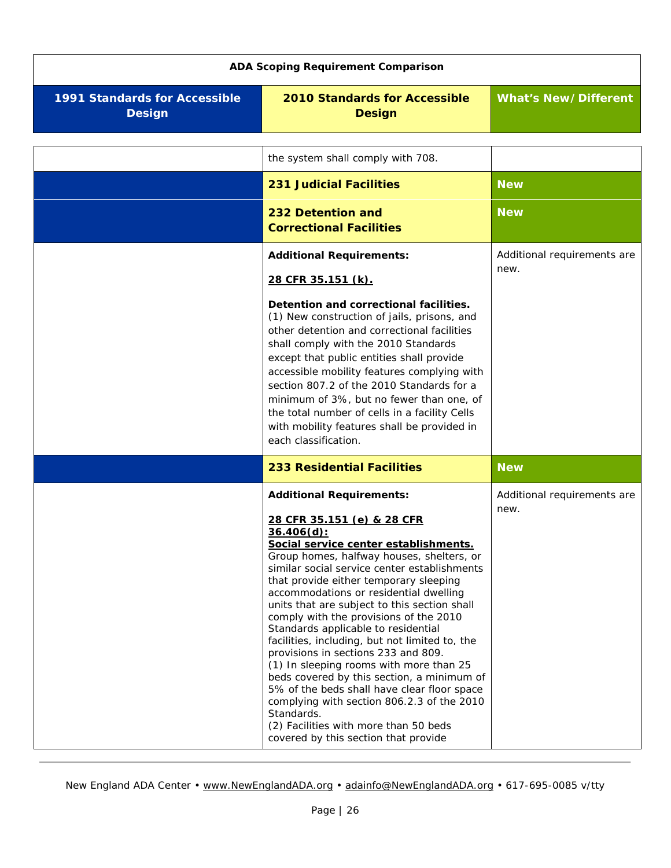<span id="page-25-2"></span><span id="page-25-1"></span><span id="page-25-0"></span>

| <b>ADA Scoping Requirement Comparison</b>      |                                                                                                                                                                                                                                                                                                                                                                                                                                                                                                                                                                                                                                                                                                                                                                                                                         |                                     |  |
|------------------------------------------------|-------------------------------------------------------------------------------------------------------------------------------------------------------------------------------------------------------------------------------------------------------------------------------------------------------------------------------------------------------------------------------------------------------------------------------------------------------------------------------------------------------------------------------------------------------------------------------------------------------------------------------------------------------------------------------------------------------------------------------------------------------------------------------------------------------------------------|-------------------------------------|--|
| 1991 Standards for Accessible<br><b>Design</b> | <b>2010 Standards for Accessible</b><br><b>Design</b>                                                                                                                                                                                                                                                                                                                                                                                                                                                                                                                                                                                                                                                                                                                                                                   | <b>What's New/Different</b>         |  |
|                                                | the system shall comply with 708.                                                                                                                                                                                                                                                                                                                                                                                                                                                                                                                                                                                                                                                                                                                                                                                       |                                     |  |
|                                                | <b>231 Judicial Facilities</b>                                                                                                                                                                                                                                                                                                                                                                                                                                                                                                                                                                                                                                                                                                                                                                                          | <b>New</b>                          |  |
|                                                | 232 Detention and<br><b>Correctional Facilities</b>                                                                                                                                                                                                                                                                                                                                                                                                                                                                                                                                                                                                                                                                                                                                                                     | <b>New</b>                          |  |
|                                                | <b>Additional Requirements:</b><br>28 CFR 35.151 (k).<br>Detention and correctional facilities.<br>(1) New construction of jails, prisons, and<br>other detention and correctional facilities<br>shall comply with the 2010 Standards<br>except that public entities shall provide<br>accessible mobility features complying with<br>section 807.2 of the 2010 Standards for a<br>minimum of 3%, but no fewer than one, of<br>the total number of cells in a facility Cells<br>with mobility features shall be provided in<br>each classification.                                                                                                                                                                                                                                                                      | Additional requirements are<br>new. |  |
|                                                | <b>233 Residential Facilities</b>                                                                                                                                                                                                                                                                                                                                                                                                                                                                                                                                                                                                                                                                                                                                                                                       | <b>New</b>                          |  |
|                                                | <b>Additional Requirements:</b><br>28 CFR 35.151 (e) & 28 CFR<br>$36.406(d)$ :<br>Social service center establishments.<br>Group homes, halfway houses, shelters, or<br>similar social service center establishments<br>that provide either temporary sleeping<br>accommodations or residential dwelling<br>units that are subject to this section shall<br>comply with the provisions of the 2010<br>Standards applicable to residential<br>facilities, including, but not limited to, the<br>provisions in sections 233 and 809.<br>(1) In sleeping rooms with more than 25<br>beds covered by this section, a minimum of<br>5% of the beds shall have clear floor space<br>complying with section 806.2.3 of the 2010<br>Standards.<br>(2) Facilities with more than 50 beds<br>covered by this section that provide | Additional requirements are<br>new. |  |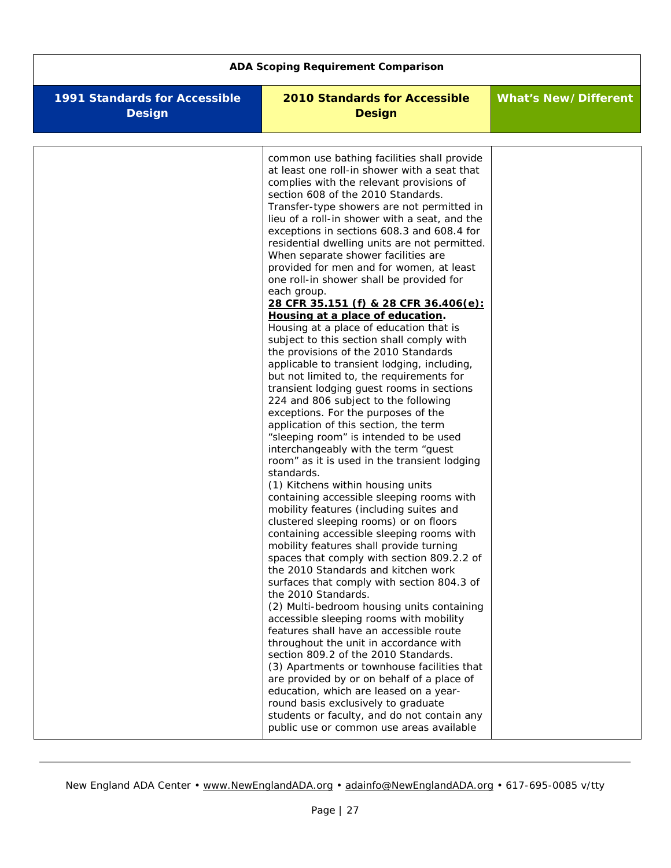| <b>ADA Scoping Requirement Comparison</b>             |                                                                                                                                                                                                                                                                                                                                                                                                                                                                                                                                                                                                                                                                                                                                                                                                                                                                                                                                                                                                                                                                                                                                                                                                                                                                                                                                                                                                                                                                                                                                                                                                                                                                                                                                                                                                                                                                                                                                                                                                                                                                                |                             |  |
|-------------------------------------------------------|--------------------------------------------------------------------------------------------------------------------------------------------------------------------------------------------------------------------------------------------------------------------------------------------------------------------------------------------------------------------------------------------------------------------------------------------------------------------------------------------------------------------------------------------------------------------------------------------------------------------------------------------------------------------------------------------------------------------------------------------------------------------------------------------------------------------------------------------------------------------------------------------------------------------------------------------------------------------------------------------------------------------------------------------------------------------------------------------------------------------------------------------------------------------------------------------------------------------------------------------------------------------------------------------------------------------------------------------------------------------------------------------------------------------------------------------------------------------------------------------------------------------------------------------------------------------------------------------------------------------------------------------------------------------------------------------------------------------------------------------------------------------------------------------------------------------------------------------------------------------------------------------------------------------------------------------------------------------------------------------------------------------------------------------------------------------------------|-----------------------------|--|
| <b>1991 Standards for Accessible</b><br><b>Design</b> | <b>2010 Standards for Accessible</b><br><b>Design</b>                                                                                                                                                                                                                                                                                                                                                                                                                                                                                                                                                                                                                                                                                                                                                                                                                                                                                                                                                                                                                                                                                                                                                                                                                                                                                                                                                                                                                                                                                                                                                                                                                                                                                                                                                                                                                                                                                                                                                                                                                          | <b>What's New/Different</b> |  |
|                                                       | common use bathing facilities shall provide<br>at least one roll-in shower with a seat that<br>complies with the relevant provisions of<br>section 608 of the 2010 Standards.<br>Transfer-type showers are not permitted in<br>lieu of a roll-in shower with a seat, and the<br>exceptions in sections 608.3 and 608.4 for<br>residential dwelling units are not permitted.<br>When separate shower facilities are<br>provided for men and for women, at least<br>one roll-in shower shall be provided for<br>each group.<br>28 CFR 35.151 (f) & 28 CFR 36.406(e):<br>Housing at a place of education.<br>Housing at a place of education that is<br>subject to this section shall comply with<br>the provisions of the 2010 Standards<br>applicable to transient lodging, including,<br>but not limited to, the requirements for<br>transient lodging guest rooms in sections<br>224 and 806 subject to the following<br>exceptions. For the purposes of the<br>application of this section, the term<br>"sleeping room" is intended to be used<br>interchangeably with the term "guest<br>room" as it is used in the transient lodging<br>standards.<br>(1) Kitchens within housing units<br>containing accessible sleeping rooms with<br>mobility features (including suites and<br>clustered sleeping rooms) or on floors<br>containing accessible sleeping rooms with<br>mobility features shall provide turning<br>spaces that comply with section 809.2.2 of<br>the 2010 Standards and kitchen work<br>surfaces that comply with section 804.3 of<br>the 2010 Standards.<br>(2) Multi-bedroom housing units containing<br>accessible sleeping rooms with mobility<br>features shall have an accessible route<br>throughout the unit in accordance with<br>section 809.2 of the 2010 Standards.<br>(3) Apartments or townhouse facilities that<br>are provided by or on behalf of a place of<br>education, which are leased on a year-<br>round basis exclusively to graduate<br>students or faculty, and do not contain any<br>public use or common use areas available |                             |  |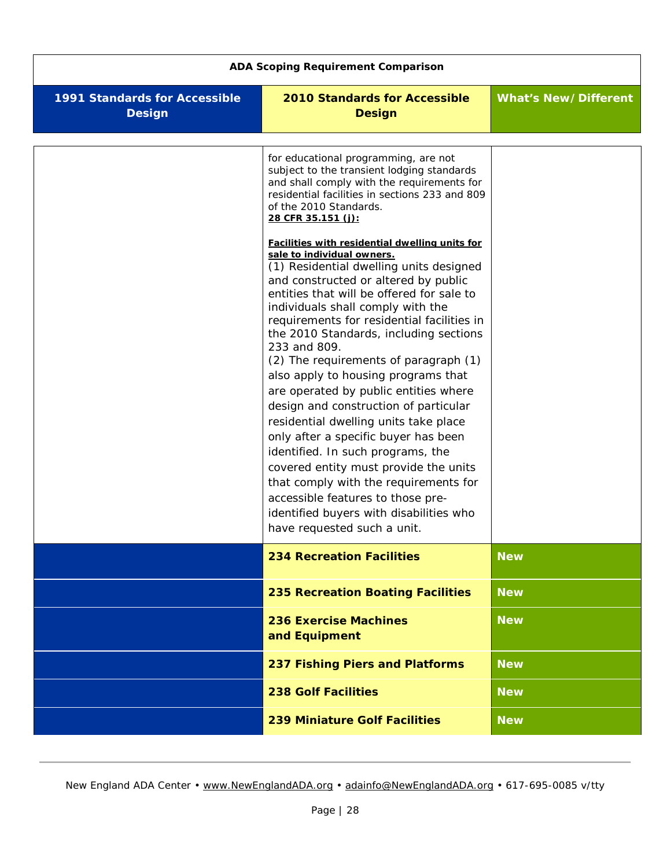<span id="page-27-5"></span><span id="page-27-4"></span><span id="page-27-3"></span><span id="page-27-2"></span><span id="page-27-1"></span><span id="page-27-0"></span>

| <b>ADA Scoping Requirement Comparison</b>      |                                                                                                                                                                                                                                                                                                                                                                                                                                                                                                                                                                                                                                                                                                                                                                                                                                                                                                                                                                                                                                                                                          |                             |  |
|------------------------------------------------|------------------------------------------------------------------------------------------------------------------------------------------------------------------------------------------------------------------------------------------------------------------------------------------------------------------------------------------------------------------------------------------------------------------------------------------------------------------------------------------------------------------------------------------------------------------------------------------------------------------------------------------------------------------------------------------------------------------------------------------------------------------------------------------------------------------------------------------------------------------------------------------------------------------------------------------------------------------------------------------------------------------------------------------------------------------------------------------|-----------------------------|--|
| 1991 Standards for Accessible<br><b>Design</b> | 2010 Standards for Accessible<br><b>Design</b>                                                                                                                                                                                                                                                                                                                                                                                                                                                                                                                                                                                                                                                                                                                                                                                                                                                                                                                                                                                                                                           | <b>What's New/Different</b> |  |
|                                                | for educational programming, are not<br>subject to the transient lodging standards<br>and shall comply with the requirements for<br>residential facilities in sections 233 and 809<br>of the 2010 Standards.<br>28 CFR 35.151 (j):<br>Facilities with residential dwelling units for<br>sale to individual owners.<br>(1) Residential dwelling units designed<br>and constructed or altered by public<br>entities that will be offered for sale to<br>individuals shall comply with the<br>requirements for residential facilities in<br>the 2010 Standards, including sections<br>233 and 809.<br>(2) The requirements of paragraph (1)<br>also apply to housing programs that<br>are operated by public entities where<br>design and construction of particular<br>residential dwelling units take place<br>only after a specific buyer has been<br>identified. In such programs, the<br>covered entity must provide the units<br>that comply with the requirements for<br>accessible features to those pre-<br>identified buyers with disabilities who<br>have requested such a unit. |                             |  |
|                                                | <b>234 Recreation Facilities</b>                                                                                                                                                                                                                                                                                                                                                                                                                                                                                                                                                                                                                                                                                                                                                                                                                                                                                                                                                                                                                                                         | <b>New</b>                  |  |
|                                                | <b>235 Recreation Boating Facilities</b>                                                                                                                                                                                                                                                                                                                                                                                                                                                                                                                                                                                                                                                                                                                                                                                                                                                                                                                                                                                                                                                 | <b>New</b>                  |  |
|                                                | <b>236 Exercise Machines</b><br>and Equipment                                                                                                                                                                                                                                                                                                                                                                                                                                                                                                                                                                                                                                                                                                                                                                                                                                                                                                                                                                                                                                            | <b>New</b>                  |  |
|                                                | 237 Fishing Piers and Platforms                                                                                                                                                                                                                                                                                                                                                                                                                                                                                                                                                                                                                                                                                                                                                                                                                                                                                                                                                                                                                                                          | <b>New</b>                  |  |
|                                                | <b>238 Golf Facilities</b>                                                                                                                                                                                                                                                                                                                                                                                                                                                                                                                                                                                                                                                                                                                                                                                                                                                                                                                                                                                                                                                               | <b>New</b>                  |  |
|                                                | <b>239 Miniature Golf Facilities</b>                                                                                                                                                                                                                                                                                                                                                                                                                                                                                                                                                                                                                                                                                                                                                                                                                                                                                                                                                                                                                                                     | <b>New</b>                  |  |